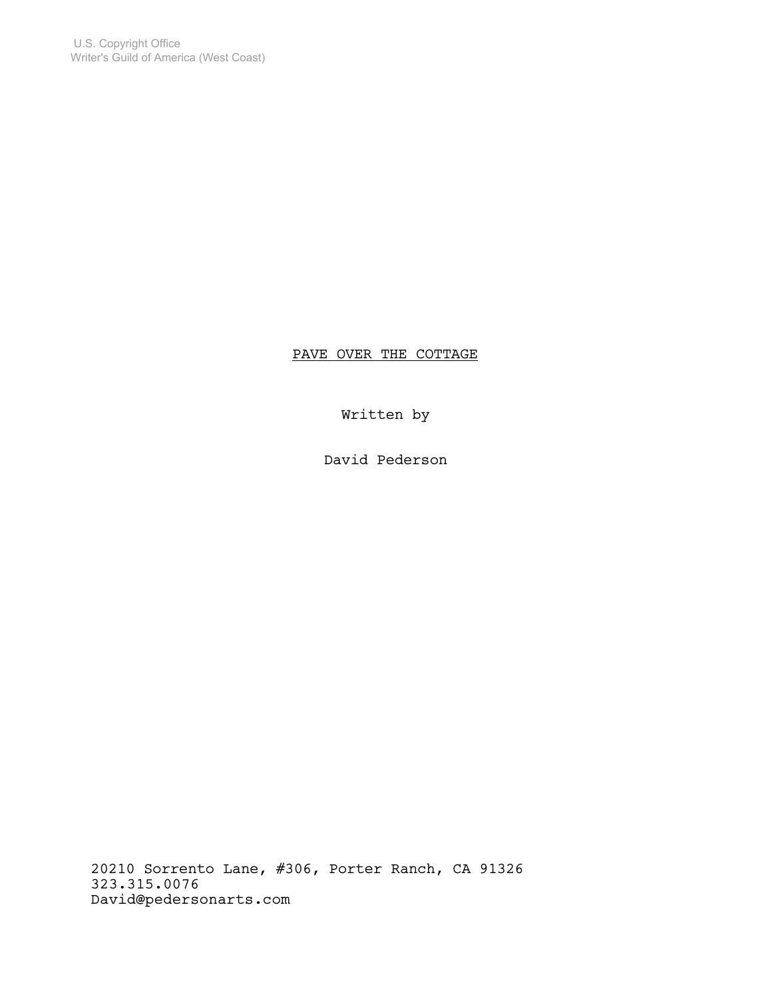PAVE OVER THE COTTAGE

Written by

David Pederson

20210 Sorrento Lane, #306, Porter Ranch, CA 91326 323.315.0076 David@pedersonarts.com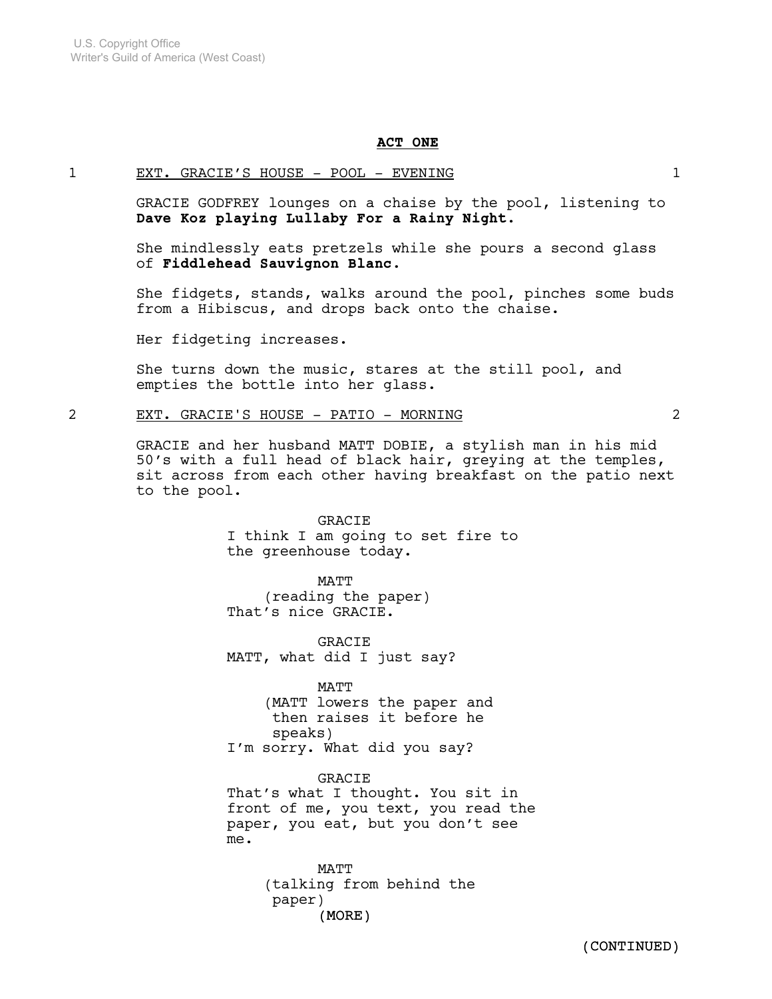### ACT ONE

### 1 EXT. GRACIE'S HOUSE - POOL - EVENING 1

GRACIE GODFREY lounges on a chaise by the pool, listening to Dave Koz playing Lullaby For a Rainy Night.

She mindlessly eats pretzels while she pours a second glass of Fiddlehead Sauvignon Blanc.

She fidgets, stands, walks around the pool, pinches some buds from a Hibiscus, and drops back onto the chaise.

Her fidgeting increases.

She turns down the music, stares at the still pool, and empties the bottle into her glass.

### 2 EXT. GRACIE'S HOUSE - PATIO - MORNING 2

GRACIE and her husband MATT DOBIE, a stylish man in his mid 50's with a full head of black hair, greying at the temples, sit across from each other having breakfast on the patio next to the pool.

> GRACIE I think I am going to set fire to the greenhouse today.

MATT (reading the paper) That's nice GRACIE.

GRACIE MATT, what did I just say?

MATT (MATT lowers the paper and then raises it before he speaks) I'm sorry. What did you say?

GRACIE That's what I thought. You sit in front of me, you text, you read the paper, you eat, but you don't see me.

> (MORE) MATT (talking from behind the paper)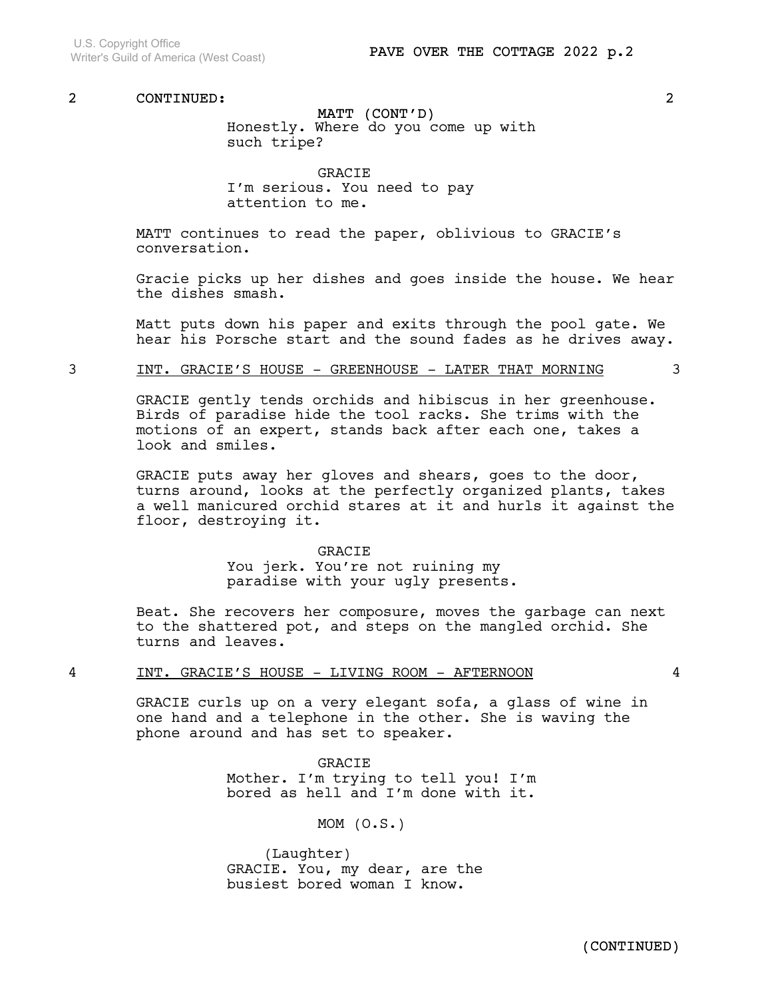MATT (CONT'D) Honestly. Where do you come up with such tripe?

GRACIE I'm serious. You need to pay attention to me.

MATT continues to read the paper, oblivious to GRACIE's conversation.

Gracie picks up her dishes and goes inside the house. We hear the dishes smash.

Matt puts down his paper and exits through the pool gate. We hear his Porsche start and the sound fades as he drives away.

## 3 INT. GRACIE'S HOUSE - GREENHOUSE - LATER THAT MORNING 3

GRACIE gently tends orchids and hibiscus in her greenhouse. Birds of paradise hide the tool racks. She trims with the motions of an expert, stands back after each one, takes a look and smiles.

GRACIE puts away her gloves and shears, goes to the door, turns around, looks at the perfectly organized plants, takes a well manicured orchid stares at it and hurls it against the floor, destroying it.

#### GRACIE

You jerk. You're not ruining my paradise with your ugly presents.

Beat. She recovers her composure, moves the garbage can next to the shattered pot, and steps on the mangled orchid. She turns and leaves.

### 4 INT. GRACIE'S HOUSE - LIVING ROOM - AFTERNOON 4

GRACIE curls up on a very elegant sofa, a glass of wine in one hand and a telephone in the other. She is waving the phone around and has set to speaker.

> GRACIE Mother. I'm trying to tell you! I'm bored as hell and I'm done with it.

> > MOM (O.S.)

(Laughter) GRACIE. You, my dear, are the busiest bored woman I know.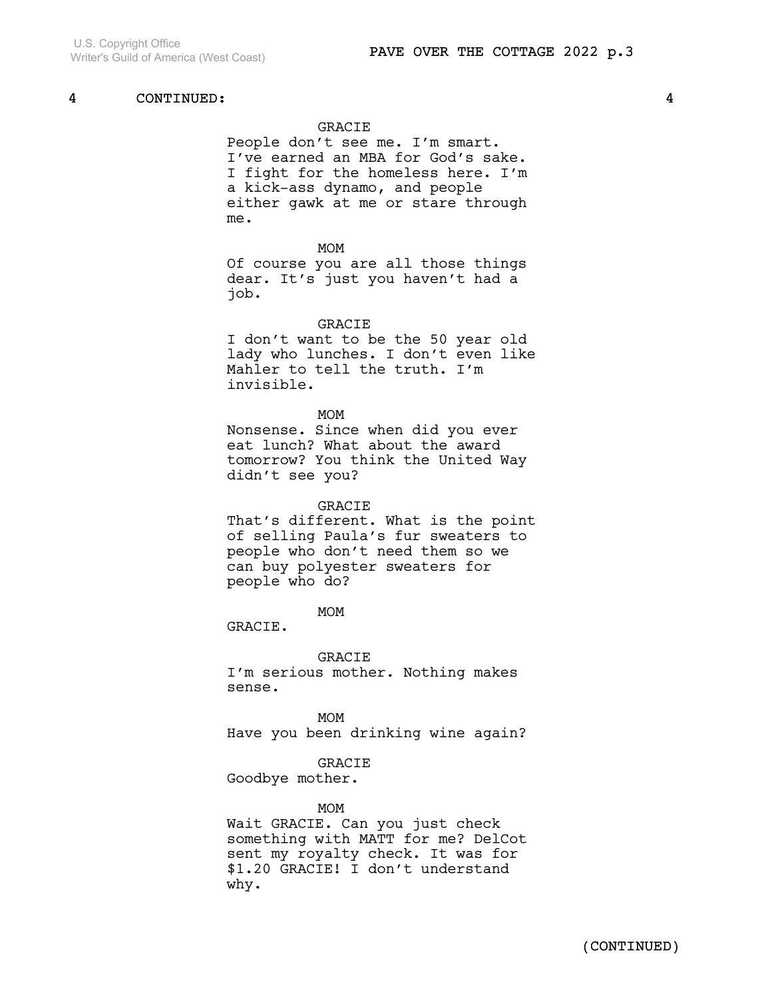### GRACIE

People don't see me. I'm smart. I've earned an MBA for God's sake. I fight for the homeless here. I'm a kick-ass dynamo, and people either gawk at me or stare through me.

#### MOM

Of course you are all those things dear. It's just you haven't had a job.

#### **GRACIE**

I don't want to be the 50 year old lady who lunches. I don't even like Mahler to tell the truth. I'm invisible.

#### MOM

Nonsense. Since when did you ever eat lunch? What about the award tomorrow? You think the United Way didn't see you?

#### GRACIE

That's different. What is the point of selling Paula's fur sweaters to people who don't need them so we can buy polyester sweaters for people who do?

MOM

GRACIE.

GRACIE

I'm serious mother. Nothing makes sense.

MOM Have you been drinking wine again?

### GRACIE

Goodbye mother.

#### MOM

Wait GRACIE. Can you just check something with MATT for me? DelCot sent my royalty check. It was for \$1.20 GRACIE! I don't understand why.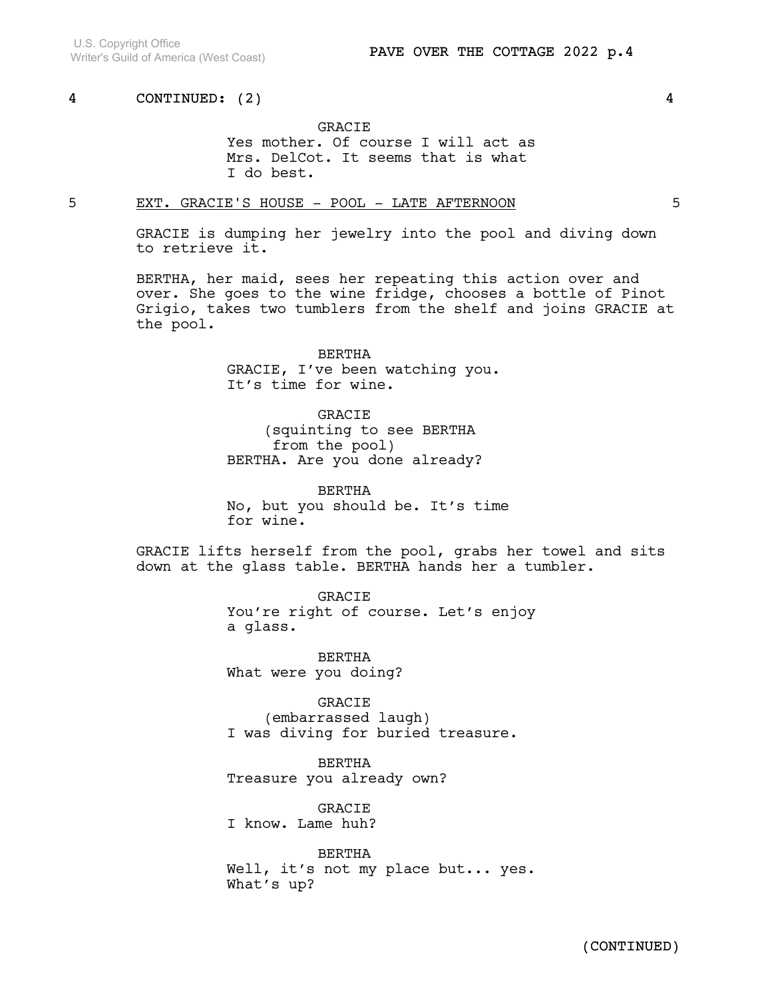## GRACIE Yes mother. Of course I will act as Mrs. DelCot. It seems that is what I do best.

## 5 EXT. GRACIE'S HOUSE - POOL - LATE AFTERNOON 5

GRACIE is dumping her jewelry into the pool and diving down to retrieve it.

BERTHA, her maid, sees her repeating this action over and over. She goes to the wine fridge, chooses a bottle of Pinot Grigio, takes two tumblers from the shelf and joins GRACIE at the pool.

> BERTHA GRACIE, I've been watching you. It's time for wine.

GRACIE (squinting to see BERTHA from the pool) BERTHA. Are you done already?

BERTHA No, but you should be. It's time for wine.

GRACIE lifts herself from the pool, grabs her towel and sits down at the glass table. BERTHA hands her a tumbler.

> GRACIE You're right of course. Let's enjoy a glass.

BERTHA What were you doing?

GRACIE (embarrassed laugh) I was diving for buried treasure.

BERTHA Treasure you already own?

GRACIE I know. Lame huh?

BERTHA Well, it's not my place but... yes. What's up?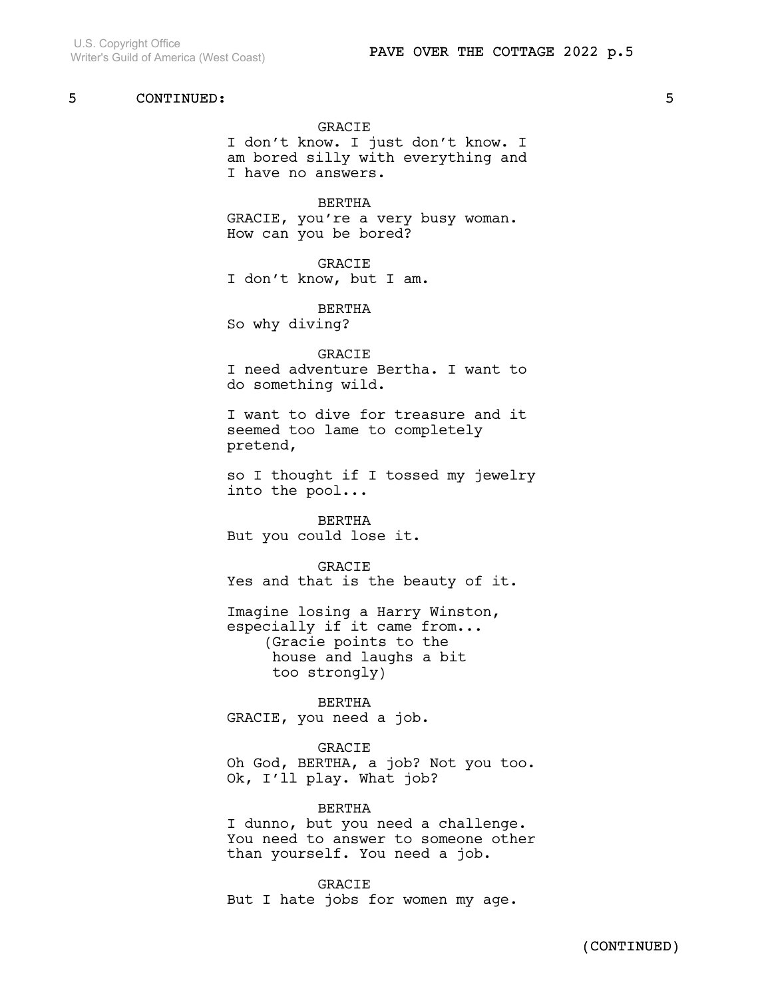### GRACIE

I don't know. I just don't know. I am bored silly with everything and I have no answers.

BERTHA GRACIE, you're a very busy woman. How can you be bored?

GRACIE I don't know, but I am.

BERTHA So why diving?

GRACIE I need adventure Bertha. I want to do something wild.

I want to dive for treasure and it seemed too lame to completely pretend,

so I thought if I tossed my jewelry into the pool...

BERTHA But you could lose it.

GRACIE Yes and that is the beauty of it.

Imagine losing a Harry Winston, especially if it came from... (Gracie points to the house and laughs a bit too strongly)

BERTHA GRACIE, you need a job.

#### GRACIE

Oh God, BERTHA, a job? Not you too. Ok, I'll play. What job?

BERTHA

I dunno, but you need a challenge. You need to answer to someone other than yourself. You need a job.

**GRACIE** But I hate jobs for women my age.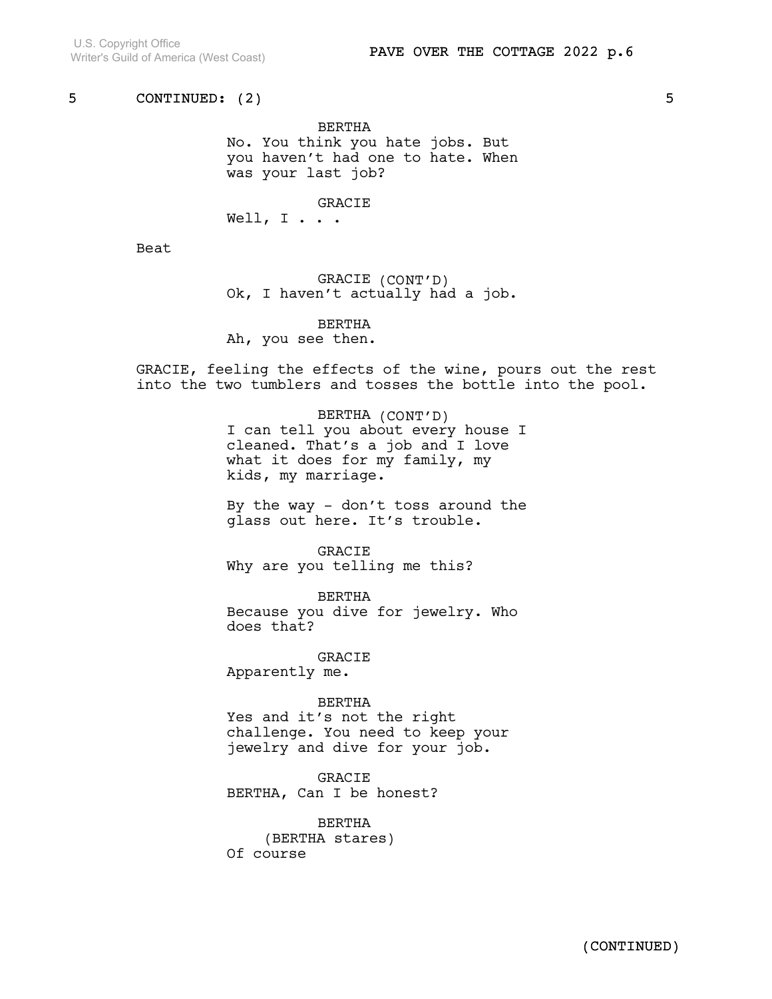BERTHA No. You think you hate jobs. But you haven't had one to hate. When was your last job?

GRACIE

Well,  $I \cdot \cdot \cdot$ 

Beat

GRACIE (CONT'D) Ok, I haven't actually had a job.

BERTHA

Ah, you see then.

GRACIE, feeling the effects of the wine, pours out the rest into the two tumblers and tosses the bottle into the pool.

> BERTHA (CONT'D) I can tell you about every house I cleaned. That's a job and I love what it does for my family, my kids, my marriage.

> By the way - don't toss around the glass out here. It's trouble.

GRACIE Why are you telling me this?

BERTHA Because you dive for jewelry. Who does that?

GRACIE Apparently me.

BERTHA Yes and it's not the right challenge. You need to keep your jewelry and dive for your job.

GRACIE BERTHA, Can I be honest?

BERTHA (BERTHA stares) Of course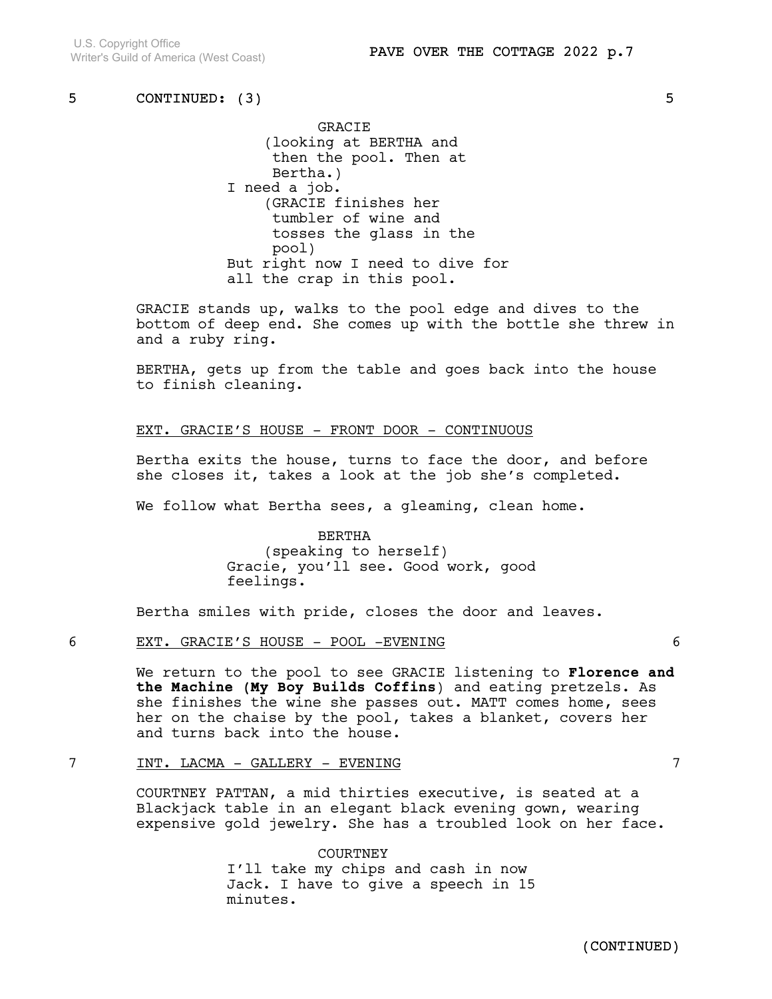GRACIE (looking at BERTHA and then the pool. Then at Bertha.) I need a job. (GRACIE finishes her tumbler of wine and tosses the glass in the pool) But right now I need to dive for all the crap in this pool.

GRACIE stands up, walks to the pool edge and dives to the bottom of deep end. She comes up with the bottle she threw in and a ruby ring.

BERTHA, gets up from the table and goes back into the house to finish cleaning.

### EXT. GRACIE'S HOUSE - FRONT DOOR - CONTINUOUS

Bertha exits the house, turns to face the door, and before she closes it, takes a look at the job she's completed.

We follow what Bertha sees, a gleaming, clean home.

BERTHA (speaking to herself) Gracie, you'll see. Good work, good feelings.

Bertha smiles with pride, closes the door and leaves.

### 6 EXT. GRACIE'S HOUSE - POOL -EVENING 6

We return to the pool to see GRACIE listening to Florence and the Machine (My Boy Builds Coffins) and eating pretzels. As she finishes the wine she passes out. MATT comes home, sees her on the chaise by the pool, takes a blanket, covers her and turns back into the house.

### 7 INT. LACMA - GALLERY - EVENING 7

COURTNEY PATTAN, a mid thirties executive, is seated at a Blackjack table in an elegant black evening gown, wearing expensive gold jewelry. She has a troubled look on her face.

> **COURTNEY** I'll take my chips and cash in now Jack. I have to give a speech in 15 minutes.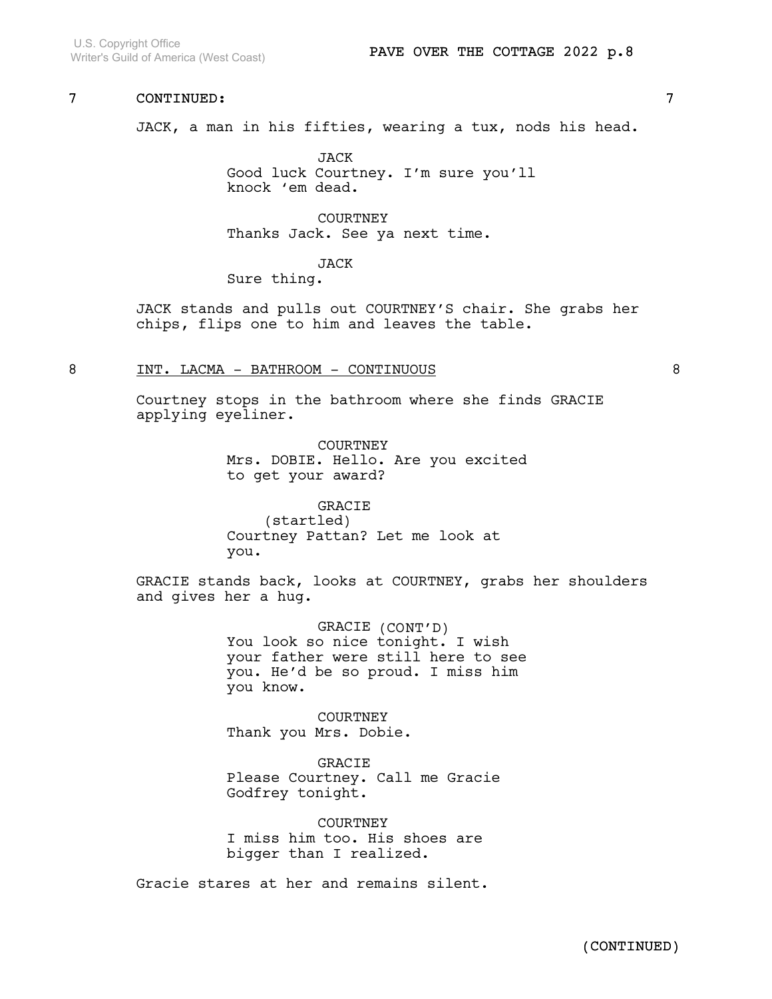U.S. Copyright Office Writer's Guild of America (West Coast)

## 7 CONTINUED: 7

JACK, a man in his fifties, wearing a tux, nods his head.

JACK Good luck Courtney. I'm sure you'll knock 'em dead.

**COURTNEY** Thanks Jack. See ya next time.

JACK

Sure thing.

JACK stands and pulls out COURTNEY'S chair. She grabs her chips, flips one to him and leaves the table.

### 8 INT. LACMA - BATHROOM - CONTINUOUS 8

Courtney stops in the bathroom where she finds GRACIE applying eyeliner.

> COURTNEY Mrs. DOBIE. Hello. Are you excited to get your award?

GRACIE (startled) Courtney Pattan? Let me look at you.

GRACIE stands back, looks at COURTNEY, grabs her shoulders and gives her a hug.

> GRACIE (CONT'D) You look so nice tonight. I wish your father were still here to see you. He'd be so proud. I miss him you know.

COURTNEY Thank you Mrs. Dobie.

GRACIE Please Courtney. Call me Gracie Godfrey tonight.

**COURTNEY** I miss him too. His shoes are bigger than I realized.

Gracie stares at her and remains silent.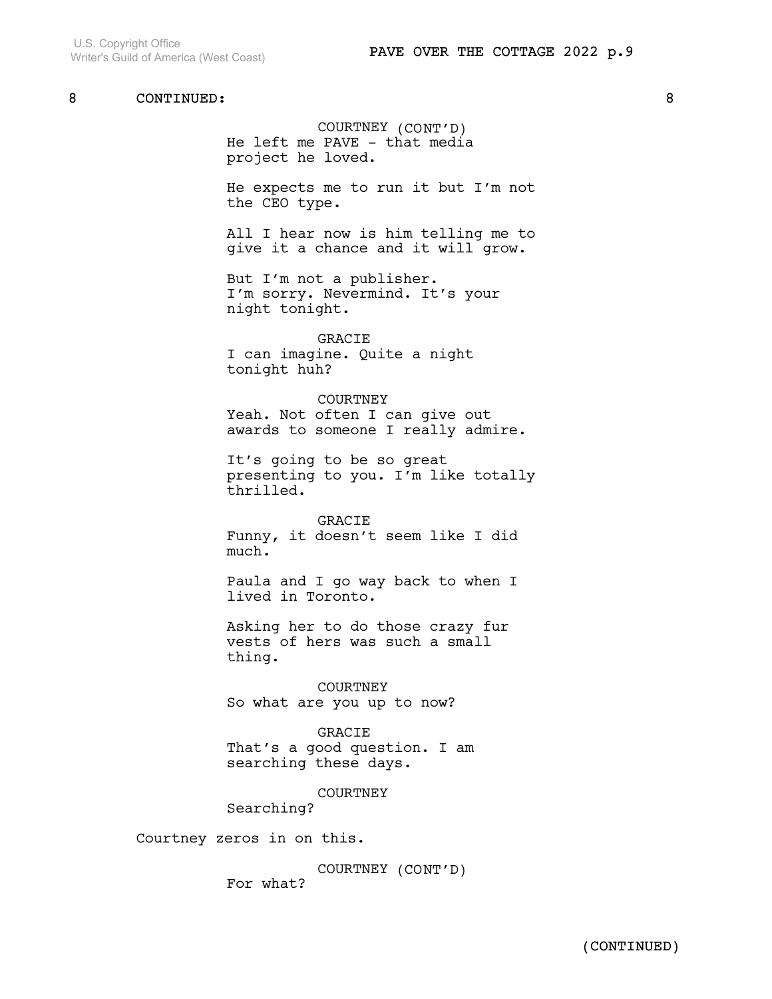### COURTNEY (CONT'D) He left me PAVE - that media project he loved.

He expects me to run it but I'm not the CEO type.

All I hear now is him telling me to give it a chance and it will grow.

But I'm not a publisher. I'm sorry. Nevermind. It's your night tonight.

GRACIE I can imagine. Quite a night tonight huh?

COURTNEY Yeah. Not often I can give out awards to someone I really admire.

It's going to be so great presenting to you. I'm like totally thrilled.

GRACIE Funny, it doesn't seem like I did much.

Paula and I go way back to when I lived in Toronto.

Asking her to do those crazy fur vests of hers was such a small thing.

COURTNEY So what are you up to now?

GRACIE That's a good question. I am searching these days.

COURTNEY

Searching?

Courtney zeros in on this.

COURTNEY (CONT'D) For what?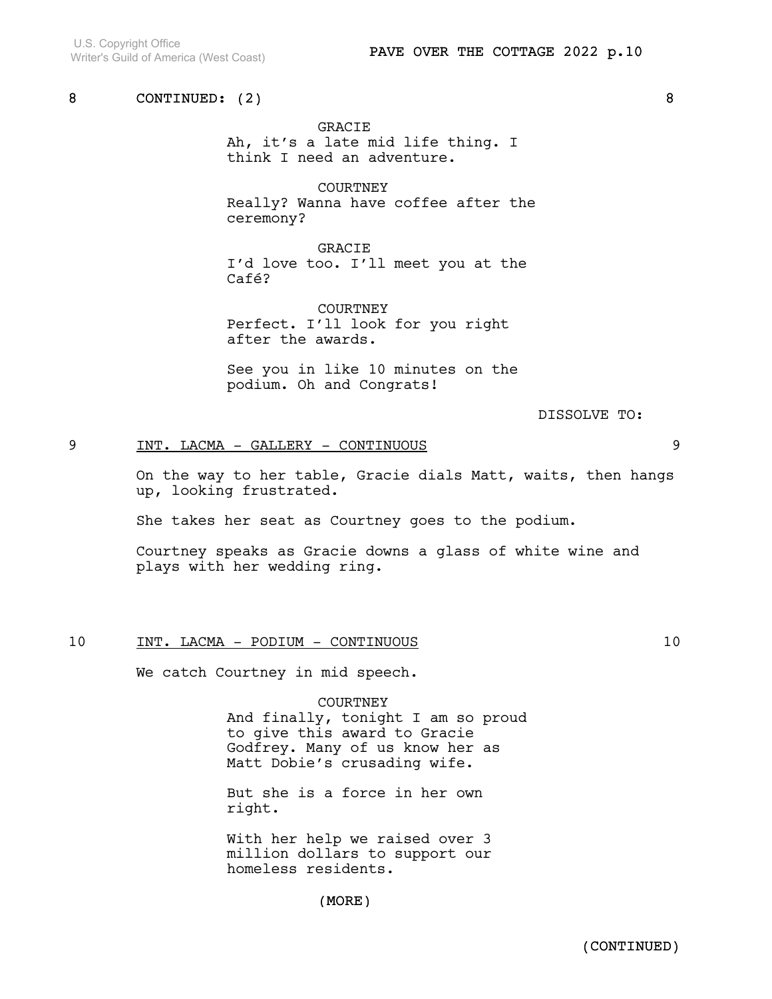GRACIE

Ah, it's a late mid life thing. I think I need an adventure.

COURTNEY Really? Wanna have coffee after the ceremony?

GRACIE I'd love too. I'll meet you at the Café?

**COURTNEY** Perfect. I'll look for you right after the awards.

See you in like 10 minutes on the podium. Oh and Congrats!

DISSOLVE TO:

## 9 INT. LACMA - GALLERY - CONTINUOUS 9

On the way to her table, Gracie dials Matt, waits, then hangs up, looking frustrated.

She takes her seat as Courtney goes to the podium.

Courtney speaks as Gracie downs a glass of white wine and plays with her wedding ring.

### 10 INT. LACMA - PODIUM - CONTINUOUS 10

We catch Courtney in mid speech.

COURTNEY And finally, tonight I am so proud to give this award to Gracie Godfrey. Many of us know her as Matt Dobie's crusading wife.

But she is a force in her own right.

With her help we raised over 3 million dollars to support our homeless residents.

(MORE)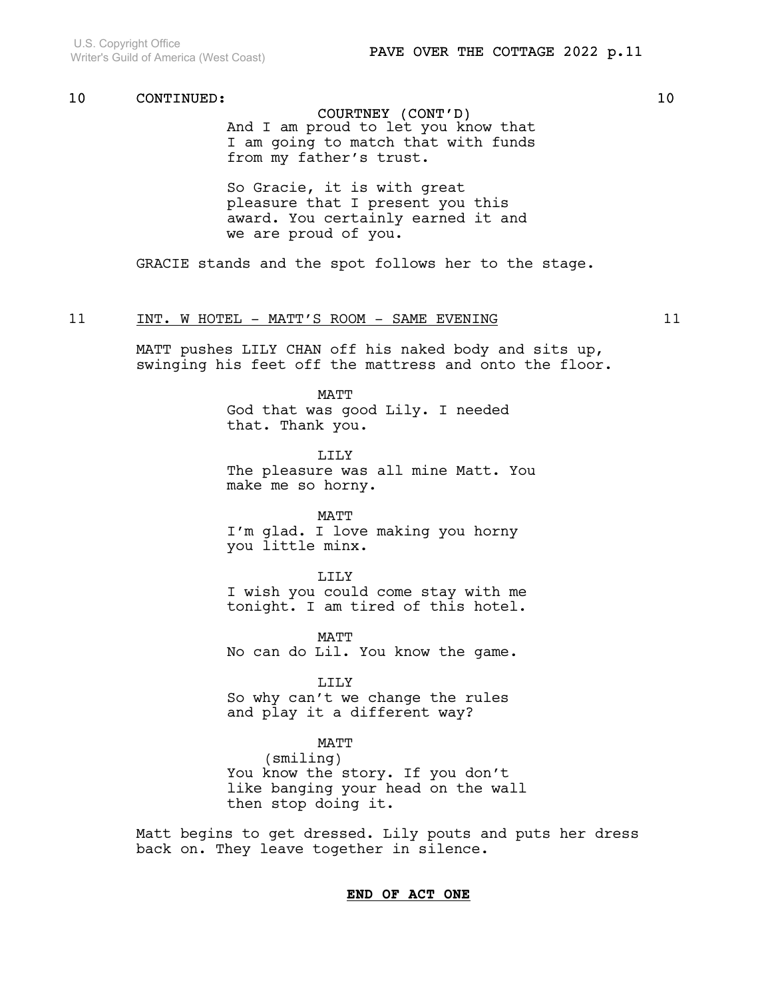## COURTNEY (CONT'D)

And I am proud to let you know that I am going to match that with funds from my father's trust.

So Gracie, it is with great pleasure that I present you this award. You certainly earned it and we are proud of you.

GRACIE stands and the spot follows her to the stage.

## 11 INT. WHOTEL - MATT'S ROOM - SAME EVENING 11

MATT pushes LILY CHAN off his naked body and sits up, swinging his feet off the mattress and onto the floor.

MATT

God that was good Lily. I needed that. Thank you.

LILY The pleasure was all mine Matt. You make me so horny.

MATT I'm glad. I love making you horny you little minx.

LILY

I wish you could come stay with me tonight. I am tired of this hotel.

MATT No can do Lil. You know the game.

LILY So why can't we change the rules and play it a different way?

MATT

(smiling) You know the story. If you don't like banging your head on the wall then stop doing it.

Matt begins to get dressed. Lily pouts and puts her dress back on. They leave together in silence.

## END OF ACT ONE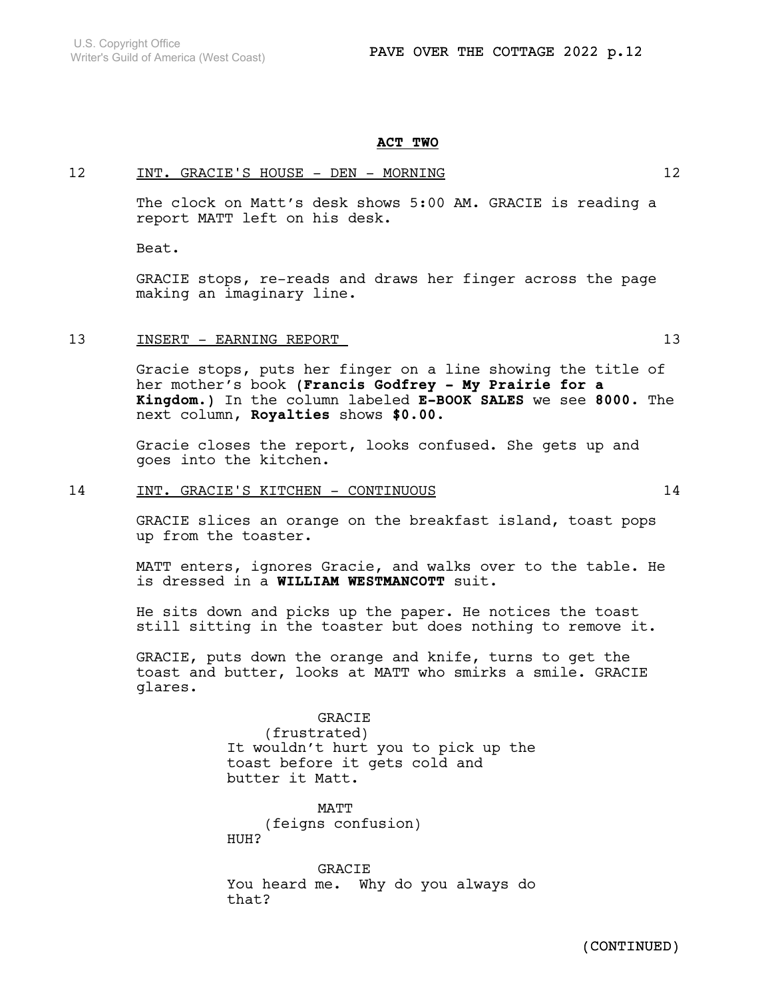#### ACT TWO

### 12 INT. GRACIE'S HOUSE - DEN - MORNING 12

The clock on Matt's desk shows 5:00 AM. GRACIE is reading a report MATT left on his desk.

Beat.

GRACIE stops, re-reads and draws her finger across the page making an imaginary line.

### 13 INSERT - EARNING REPORT 13

Gracie stops, puts her finger on a line showing the title of her mother's book (Francis Godfrey - My Prairie for a Kingdom.) In the column labeled E-BOOK SALES we see 8000. The next column, Royalties shows \$0.00.

Gracie closes the report, looks confused. She gets up and goes into the kitchen.

### 14 INT. GRACIE'S KITCHEN - CONTINUOUS 14

GRACIE slices an orange on the breakfast island, toast pops up from the toaster.

MATT enters, ignores Gracie, and walks over to the table. He is dressed in a WILLIAM WESTMANCOTT suit.

He sits down and picks up the paper. He notices the toast still sitting in the toaster but does nothing to remove it.

GRACIE, puts down the orange and knife, turns to get the toast and butter, looks at MATT who smirks a smile. GRACIE glares.

#### **GRACIE**

(frustrated) It wouldn't hurt you to pick up the toast before it gets cold and butter it Matt.

**MATT** (feigns confusion) HUH?

GRACIE You heard me. Why do you always do that?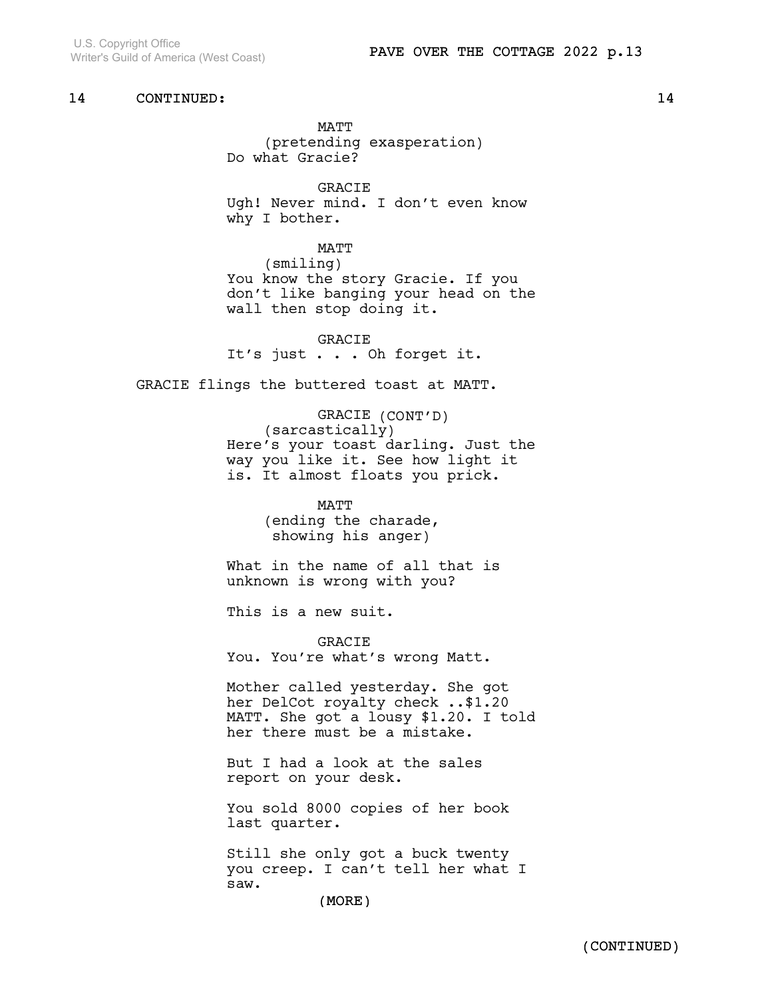MATT (pretending exasperation) Do what Gracie?

GRACIE Ugh! Never mind. I don't even know why I bother.

**MATT** (smiling) You know the story Gracie. If you don't like banging your head on the wall then stop doing it.

GRACIE It's just . . . Oh forget it.

GRACIE flings the buttered toast at MATT.

GRACIE (CONT'D) (sarcastically) Here's your toast darling. Just the way you like it. See how light it is. It almost floats you prick.

> MATT (ending the charade, showing his anger)

What in the name of all that is unknown is wrong with you?

This is a new suit.

GRACIE You. You're what's wrong Matt.

Mother called yesterday. She got her DelCot royalty check ..\$1.20 MATT. She got a lousy \$1.20. I told her there must be a mistake.

But I had a look at the sales report on your desk.

You sold 8000 copies of her book last quarter.

Still she only got a buck twenty you creep. I can't tell her what I saw.

(MORE)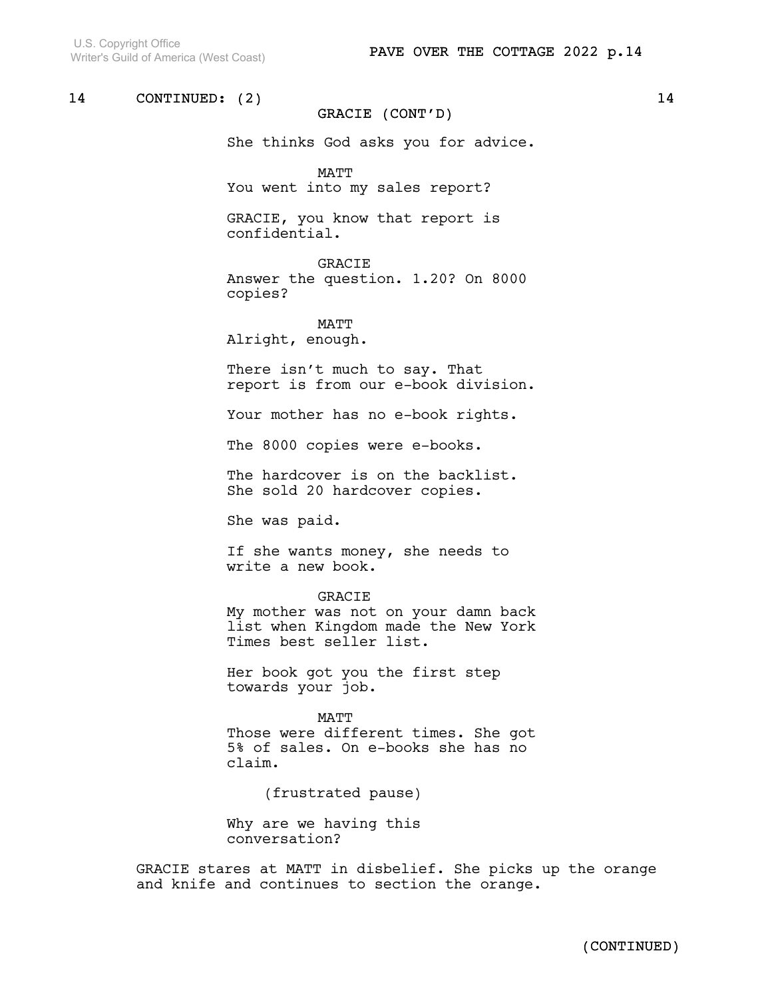### GRACIE (CONT'D)

She thinks God asks you for advice.

MATT You went into my sales report?

GRACIE, you know that report is confidential.

GRACIE

Answer the question. 1.20? On 8000 copies?

**MATT** Alright, enough.

There isn't much to say. That report is from our e-book division.

Your mother has no e-book rights.

The 8000 copies were e-books.

The hardcover is on the backlist. She sold 20 hardcover copies.

She was paid.

If she wants money, she needs to write a new book.

#### GRACIE

My mother was not on your damn back list when Kingdom made the New York Times best seller list.

Her book got you the first step towards your job.

MATT Those were different times. She got 5% of sales. On e-books she has no claim.

(frustrated pause)

Why are we having this conversation?

GRACIE stares at MATT in disbelief. She picks up the orange and knife and continues to section the orange.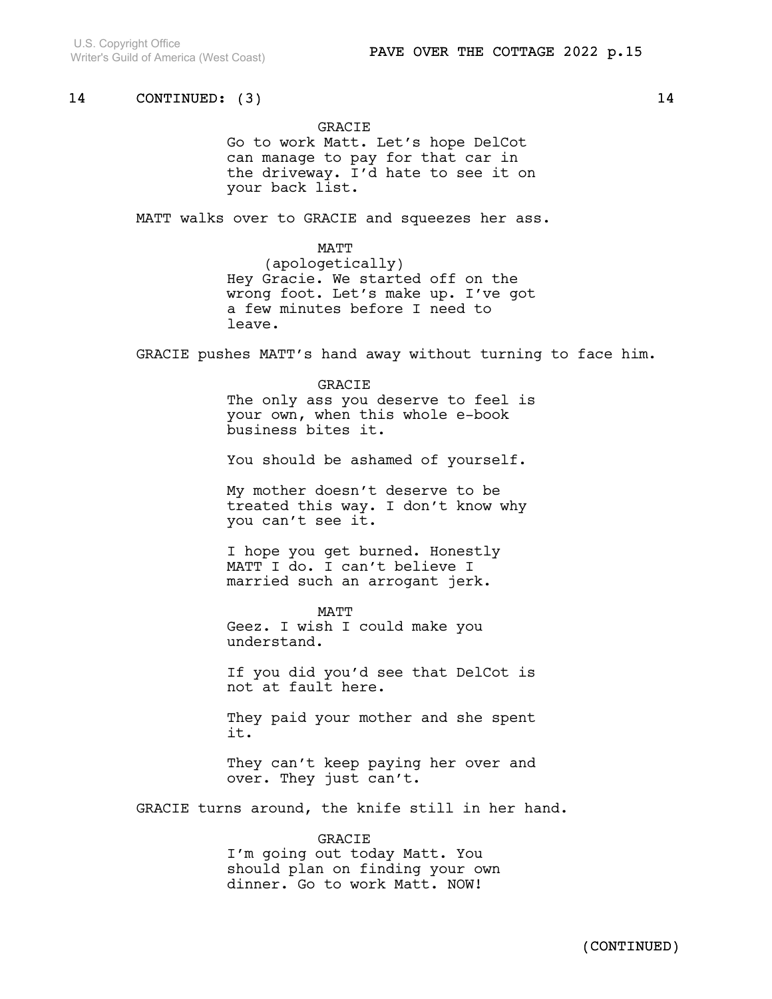#### GRACIE

Go to work Matt. Let's hope DelCot can manage to pay for that car in the driveway. I'd hate to see it on your back list.

MATT walks over to GRACIE and squeezes her ass.

**MATT** (apologetically)

Hey Gracie. We started off on the wrong foot. Let's make up. I've got a few minutes before I need to leave.

GRACIE pushes MATT's hand away without turning to face him.

#### **GRACIE**

The only ass you deserve to feel is your own, when this whole e-book business bites it.

You should be ashamed of yourself.

My mother doesn't deserve to be treated this way. I don't know why you can't see it.

I hope you get burned. Honestly MATT I do. I can't believe I married such an arrogant jerk.

MATT Geez. I wish I could make you understand.

If you did you'd see that DelCot is not at fault here.

They paid your mother and she spent it.

They can't keep paying her over and over. They just can't.

GRACIE turns around, the knife still in her hand.

## GRACIE I'm going out today Matt. You should plan on finding your own dinner. Go to work Matt. NOW!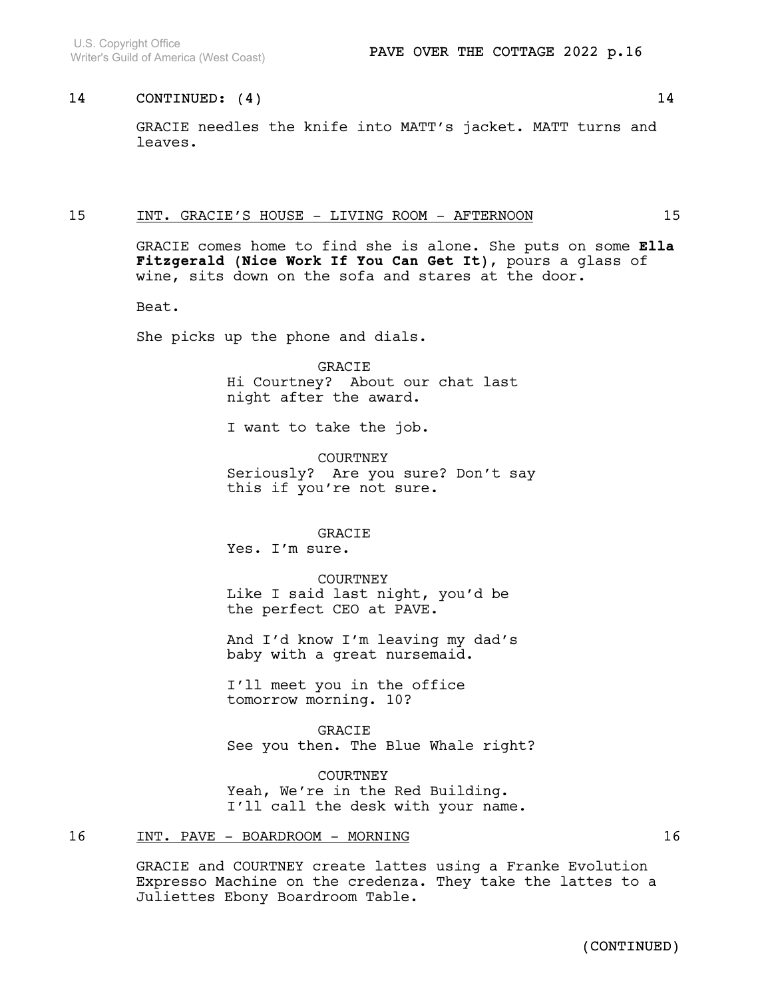GRACIE needles the knife into MATT's jacket. MATT turns and leaves.

### 15 INT. GRACIE'S HOUSE - LIVING ROOM - AFTERNOON 15

GRACIE comes home to find she is alone. She puts on some Ella Fitzgerald (Nice Work If You Can Get It), pours a glass of wine, sits down on the sofa and stares at the door.

Beat.

She picks up the phone and dials.

GRACIE Hi Courtney? About our chat last night after the award.

I want to take the job.

COURTNEY Seriously? Are you sure? Don't say this if you're not sure.

### GRACIE

Yes. I'm sure.

COURTNEY Like I said last night, you'd be the perfect CEO at PAVE.

And I'd know I'm leaving my dad's baby with a great nursemaid.

I'll meet you in the office tomorrow morning. 10?

GRACIE See you then. The Blue Whale right?

COURTNEY Yeah, We're in the Red Building. I'll call the desk with your name.

### 16 INT. PAVE - BOARDROOM - MORNING 16

GRACIE and COURTNEY create lattes using a Franke Evolution Expresso Machine on the credenza. They take the lattes to a Juliettes Ebony Boardroom Table.

(CONTINUED)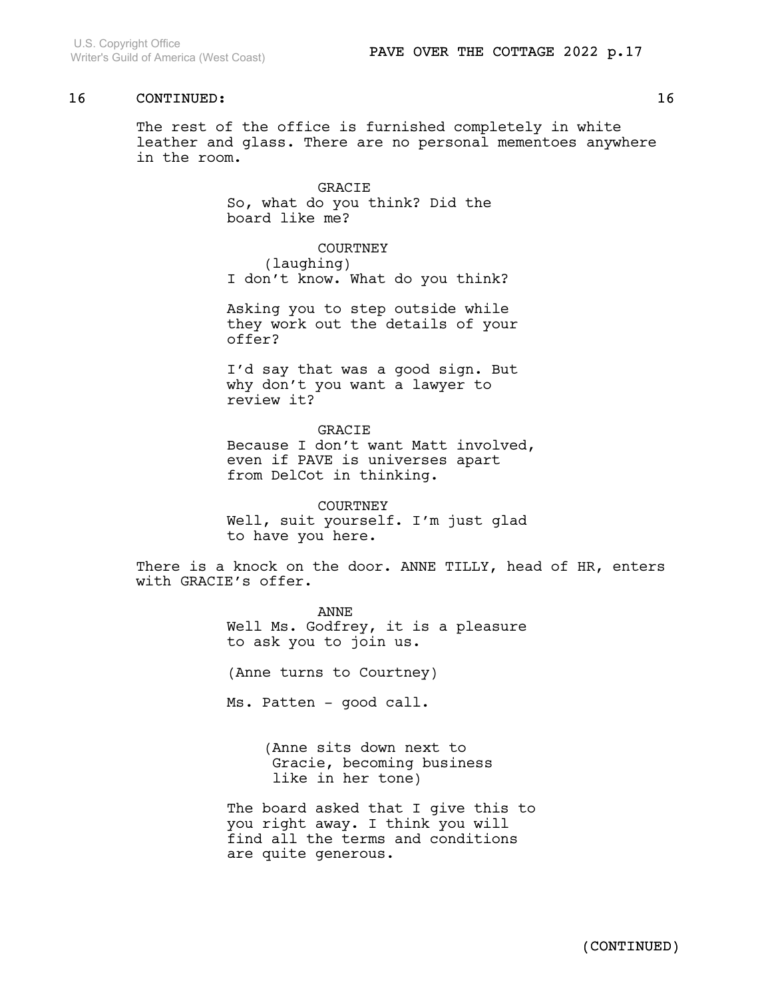The rest of the office is furnished completely in white leather and glass. There are no personal mementoes anywhere in the room.

> GRACIE So, what do you think? Did the board like me?

COURTNEY (laughing) I don't know. What do you think?

Asking you to step outside while they work out the details of your offer?

I'd say that was a good sign. But why don't you want a lawyer to review it?

GRACIE Because I don't want Matt involved, even if PAVE is universes apart from DelCot in thinking.

COURTNEY Well, suit yourself. I'm just glad to have you here.

There is a knock on the door. ANNE TILLY, head of HR, enters with GRACIE's offer.

> ANNE Well Ms. Godfrey, it is a pleasure to ask you to join us.

(Anne turns to Courtney)

Ms. Patten - good call.

(Anne sits down next to Gracie, becoming business like in her tone)

The board asked that I give this to you right away. I think you will find all the terms and conditions are quite generous.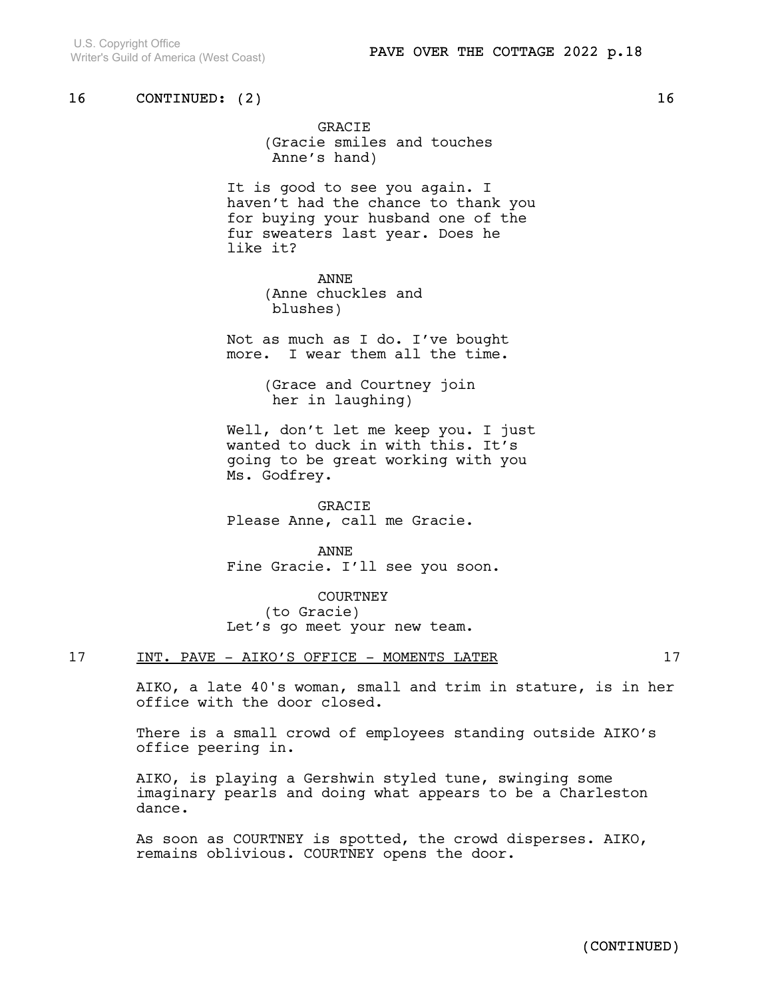GRACIE (Gracie smiles and touches Anne's hand)

It is good to see you again. I haven't had the chance to thank you for buying your husband one of the fur sweaters last year. Does he like it?

> ANNE (Anne chuckles and blushes)

Not as much as I do. I've bought more. I wear them all the time.

> (Grace and Courtney join her in laughing)

Well, don't let me keep you. I just wanted to duck in with this. It's going to be great working with you Ms. Godfrey.

GRACIE Please Anne, call me Gracie.

ANNE Fine Gracie. I'll see you soon.

**COURTNEY** (to Gracie) Let's go meet your new team.

### 17 INT. PAVE - AIKO'S OFFICE - MOMENTS LATER 17

AIKO, a late 40's woman, small and trim in stature, is in her office with the door closed.

There is a small crowd of employees standing outside AIKO's office peering in.

AIKO, is playing a Gershwin styled tune, swinging some imaginary pearls and doing what appears to be a Charleston dance.

As soon as COURTNEY is spotted, the crowd disperses. AIKO, remains oblivious. COURTNEY opens the door.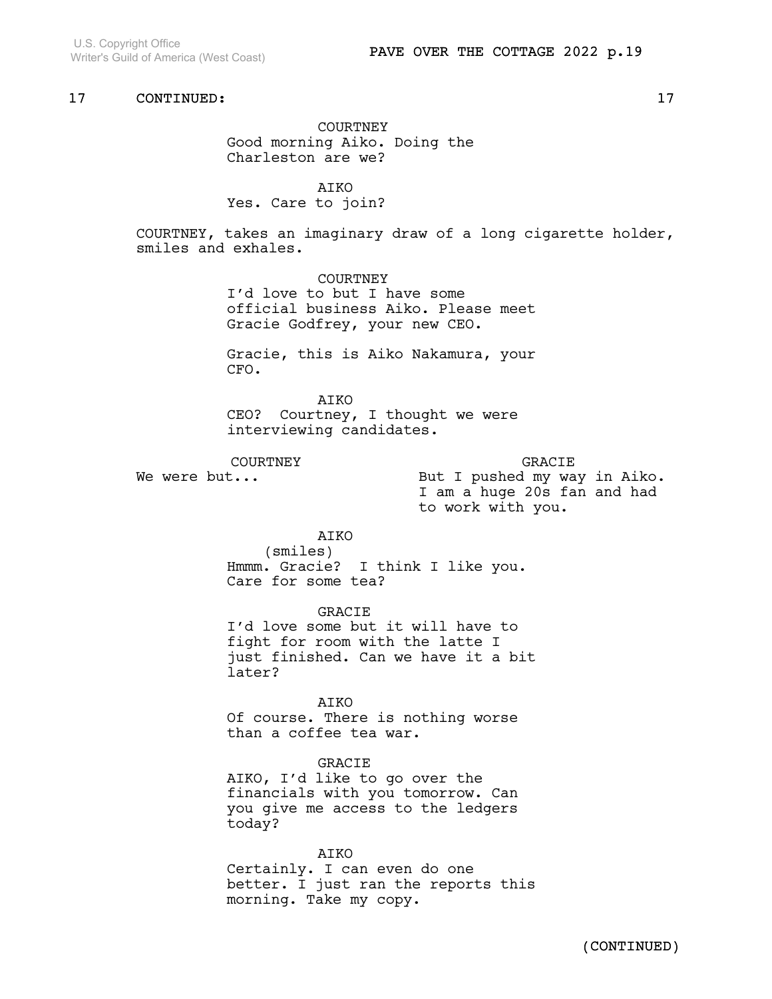U.S. Copyright Office Writer's Guild of America (West Coast)

## 17 CONTINUED: 17

COURTNEY Good morning Aiko. Doing the Charleston are we?

**ATKO** Yes. Care to join?

COURTNEY, takes an imaginary draw of a long cigarette holder, smiles and exhales.

> COURTNEY I'd love to but I have some official business Aiko. Please meet Gracie Godfrey, your new CEO.

> Gracie, this is Aiko Nakamura, your CFO.

AIKO CEO? Courtney, I thought we were interviewing candidates.

COURTNEY We were but...

GRACIE But I pushed my way in Aiko. I am a huge 20s fan and had to work with you.

AIKO

(smiles) Hmmm. Gracie? I think I like you. Care for some tea?

GRACIE I'd love some but it will have to fight for room with the latte I just finished. Can we have it a bit later?

AIKO Of course. There is nothing worse than a coffee tea war.

GRACIE

AIKO, I'd like to go over the financials with you tomorrow. Can you give me access to the ledgers today?

AIKO

Certainly. I can even do one better. I just ran the reports this morning. Take my copy.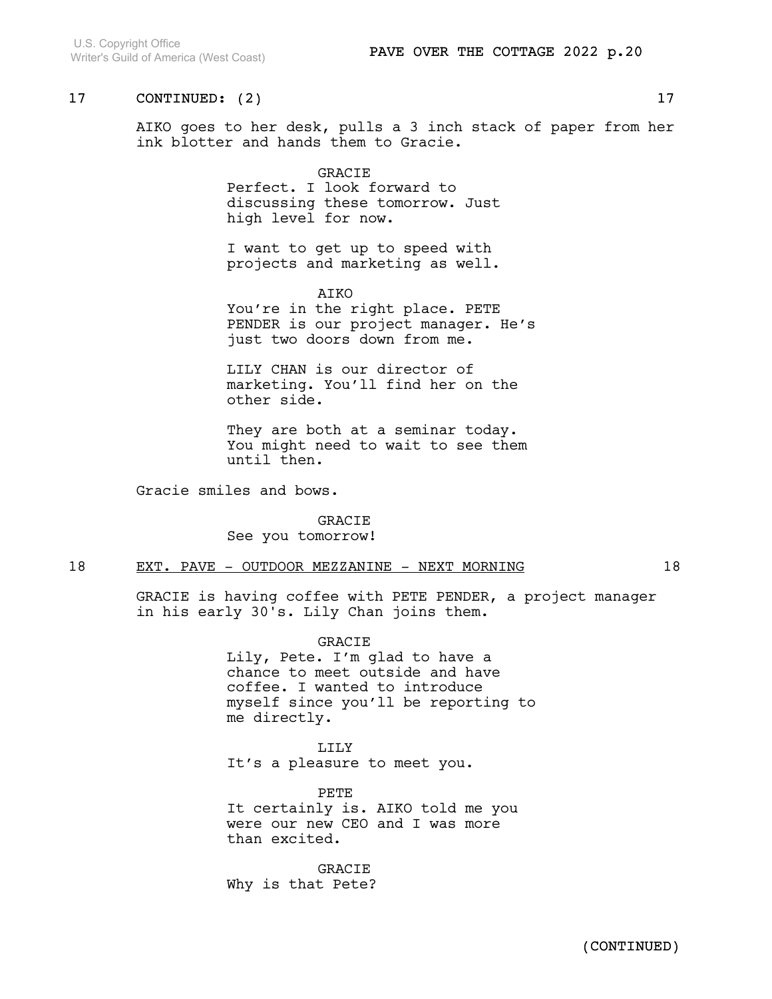AIKO goes to her desk, pulls a 3 inch stack of paper from her ink blotter and hands them to Gracie.

#### GRACIE

Perfect. I look forward to discussing these tomorrow. Just high level for now.

I want to get up to speed with projects and marketing as well.

AIKO

You're in the right place. PETE PENDER is our project manager. He's just two doors down from me.

LILY CHAN is our director of marketing. You'll find her on the other side.

They are both at a seminar today. You might need to wait to see them until then.

Gracie smiles and bows.

GRACIE See you tomorrow!

### 18 EXT. PAVE - OUTDOOR MEZZANINE - NEXT MORNING 18

GRACIE is having coffee with PETE PENDER, a project manager in his early 30's. Lily Chan joins them.

GRACIE

Lily, Pete. I'm glad to have a chance to meet outside and have coffee. I wanted to introduce myself since you'll be reporting to me directly.

LILY It's a pleasure to meet you.

PETE It certainly is. AIKO told me you were our new CEO and I was more than excited.

GRACIE Why is that Pete?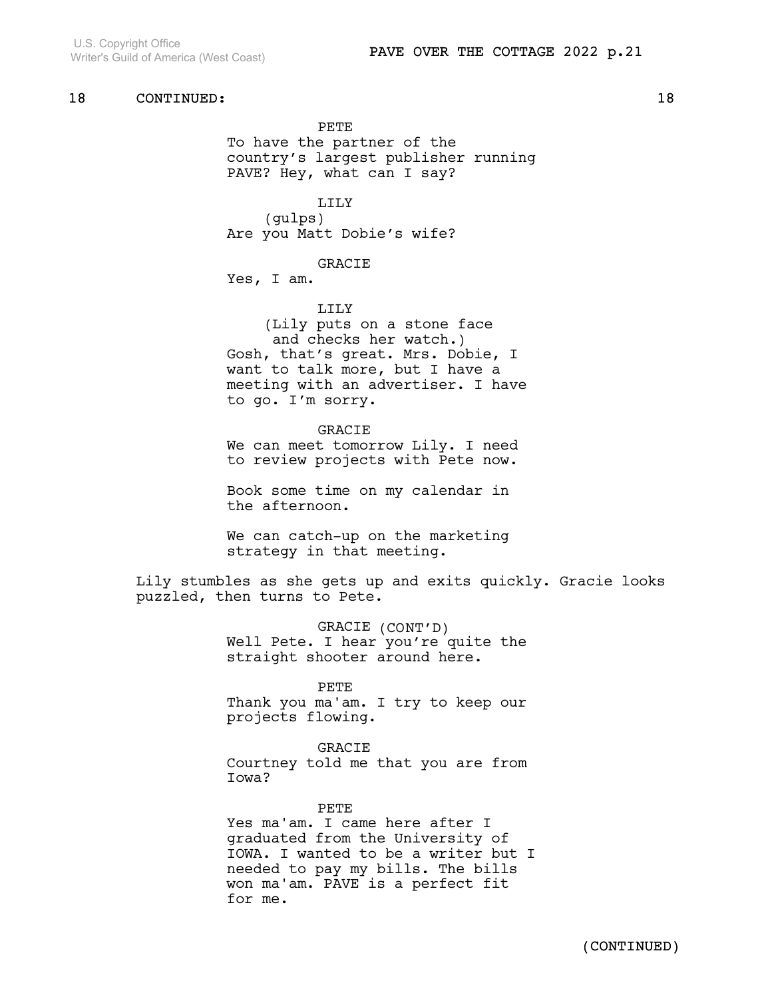PETE To have the partner of the country's largest publisher running PAVE? Hey, what can I say?

LILY (gulps) Are you Matt Dobie's wife?

### GRACIE

Yes, I am.

LILY

(Lily puts on a stone face and checks her watch.) Gosh, that's great. Mrs. Dobie, I want to talk more, but I have a meeting with an advertiser. I have to go. I'm sorry.

GRACIE We can meet tomorrow Lily. I need to review projects with Pete now.

Book some time on my calendar in the afternoon.

We can catch-up on the marketing strategy in that meeting.

Lily stumbles as she gets up and exits quickly. Gracie looks puzzled, then turns to Pete.

> GRACIE (CONT'D) Well Pete. I hear you're quite the straight shooter around here.

#### PETE

Thank you ma'am. I try to keep our projects flowing.

#### GRACIE

Courtney told me that you are from Iowa?

#### PETE

Yes ma'am. I came here after I graduated from the University of IOWA. I wanted to be a writer but I needed to pay my bills. The bills won ma'am. PAVE is a perfect fit for me.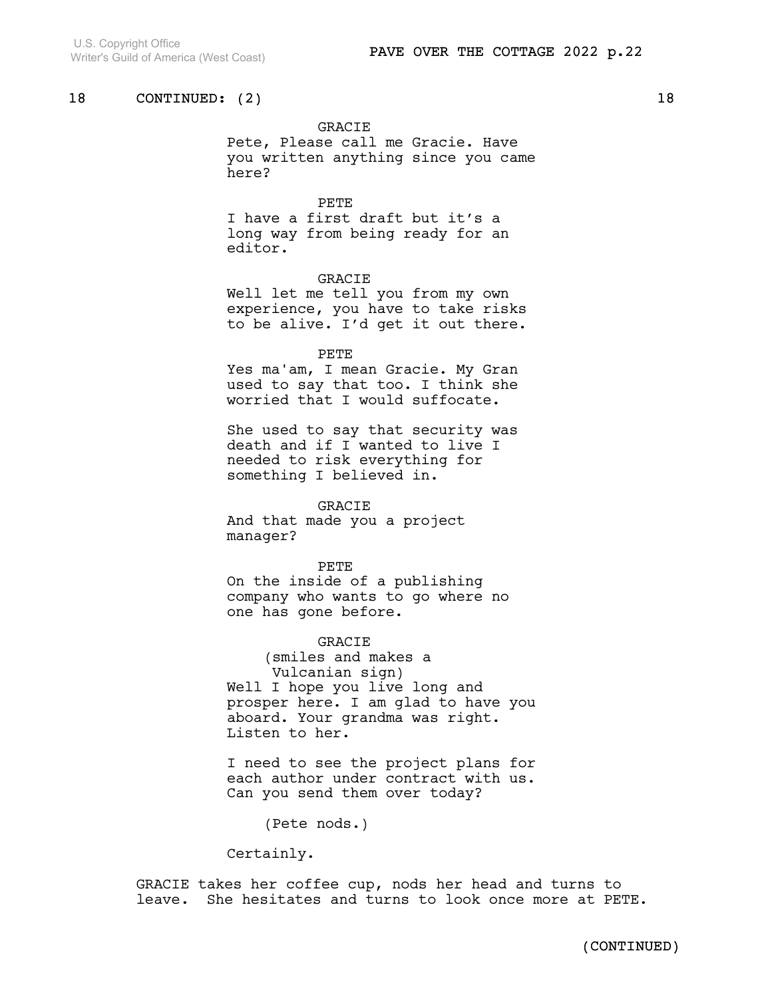### GRACIE

Pete, Please call me Gracie. Have you written anything since you came here?

#### PETE

I have a first draft but it's a long way from being ready for an editor.

### GRACIE

Well let me tell you from my own experience, you have to take risks to be alive. I'd get it out there.

#### PETE

Yes ma'am, I mean Gracie. My Gran used to say that too. I think she worried that I would suffocate.

She used to say that security was death and if I wanted to live I needed to risk everything for something I believed in.

#### GRACIE

And that made you a project manager?

#### PETE

On the inside of a publishing company who wants to go where no one has gone before.

#### GRACIE

(smiles and makes a Vulcanian sign) Well I hope you live long and prosper here. I am glad to have you aboard. Your grandma was right. Listen to her.

I need to see the project plans for each author under contract with us. Can you send them over today?

(Pete nods.)

Certainly.

GRACIE takes her coffee cup, nods her head and turns to leave. She hesitates and turns to look once more at PETE.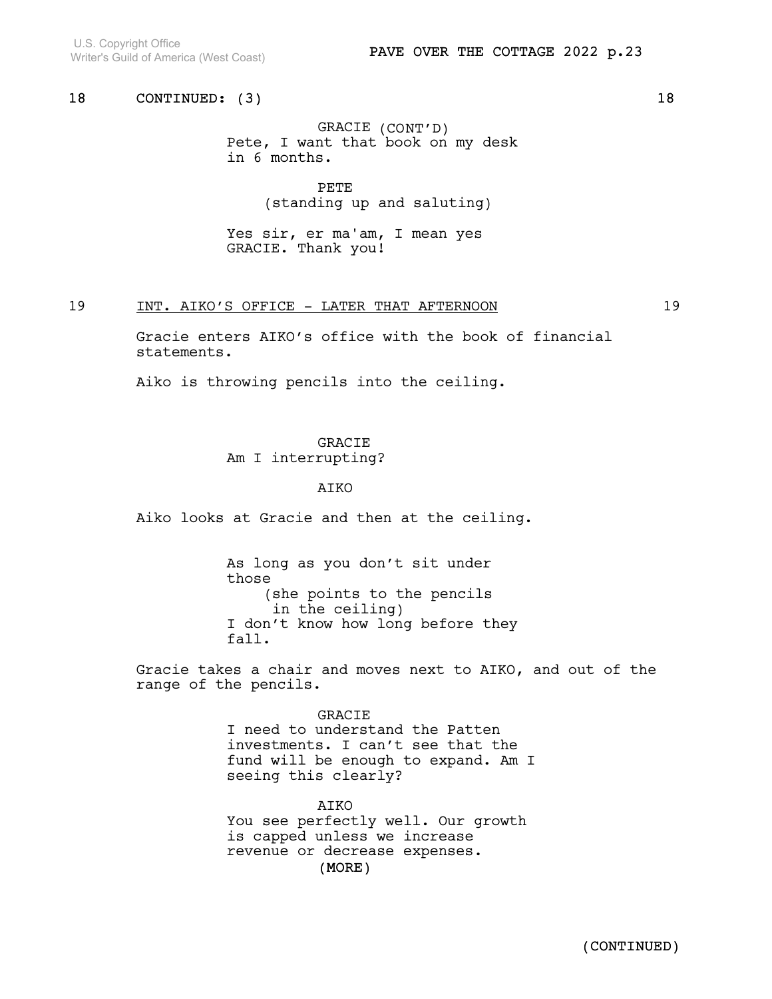U.S. Copyright Office Writer's Guild of America (West Coast)

## 18 CONTINUED: (3) 18

GRACIE (CONT'D) Pete, I want that book on my desk in 6 months.

> PETE (standing up and saluting)

Yes sir, er ma'am, I mean yes GRACIE. Thank you!

### 19 INT. AIKO'S OFFICE - LATER THAT AFTERNOON 19

Gracie enters AIKO's office with the book of financial statements.

Aiko is throwing pencils into the ceiling.

GRACIE Am I interrupting?

### AIKO

Aiko looks at Gracie and then at the ceiling.

As long as you don't sit under those (she points to the pencils in the ceiling) I don't know how long before they fall.

Gracie takes a chair and moves next to AIKO, and out of the range of the pencils.

> GRACIE I need to understand the Patten investments. I can't see that the fund will be enough to expand. Am I seeing this clearly?

(MORE) AIKO You see perfectly well. Our growth is capped unless we increase revenue or decrease expenses.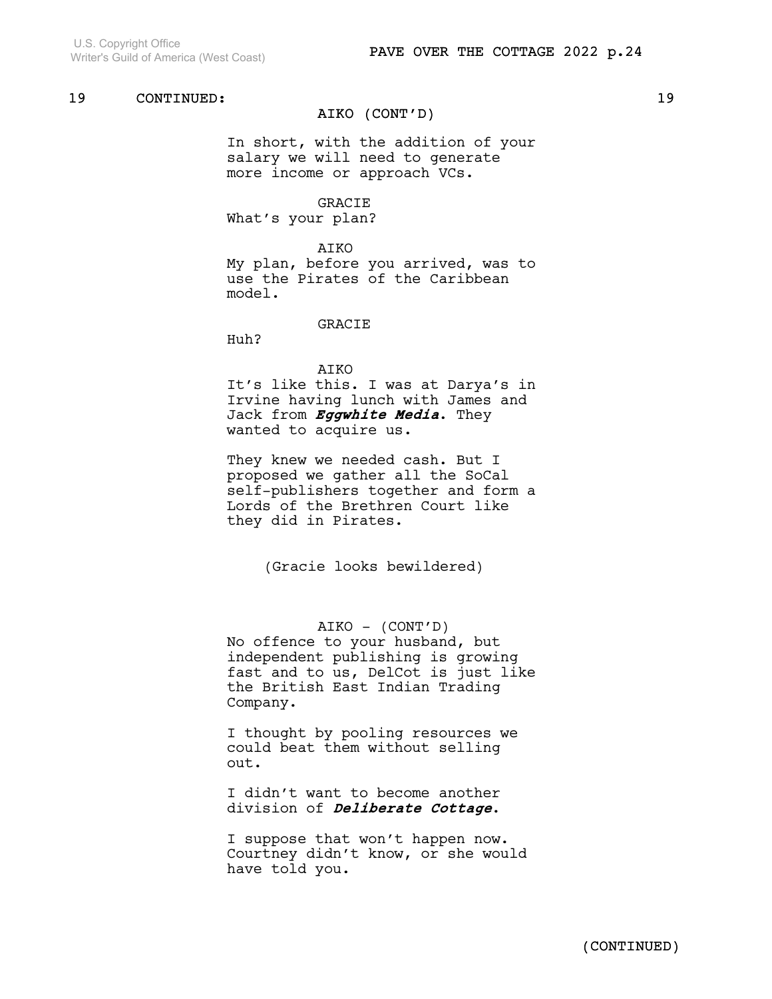### AIKO (CONT'D)

In short, with the addition of your salary we will need to generate more income or approach VCs.

### GRACIE

What's your plan?

### AIKO

My plan, before you arrived, was to use the Pirates of the Caribbean model.

#### GRACIE

Huh?

#### AIKO

It's like this. I was at Darya's in Irvine having lunch with James and Jack from Eggwhite Media. They wanted to acquire us.

They knew we needed cash. But I proposed we gather all the SoCal self-publishers together and form a Lords of the Brethren Court like they did in Pirates.

(Gracie looks bewildered)

### AIKO - (CONT'D)

No offence to your husband, but independent publishing is growing fast and to us, DelCot is just like the British East Indian Trading Company.

I thought by pooling resources we could beat them without selling out.

I didn't want to become another division of *Deliberate Cottage*.

I suppose that won't happen now. Courtney didn't know, or she would have told you.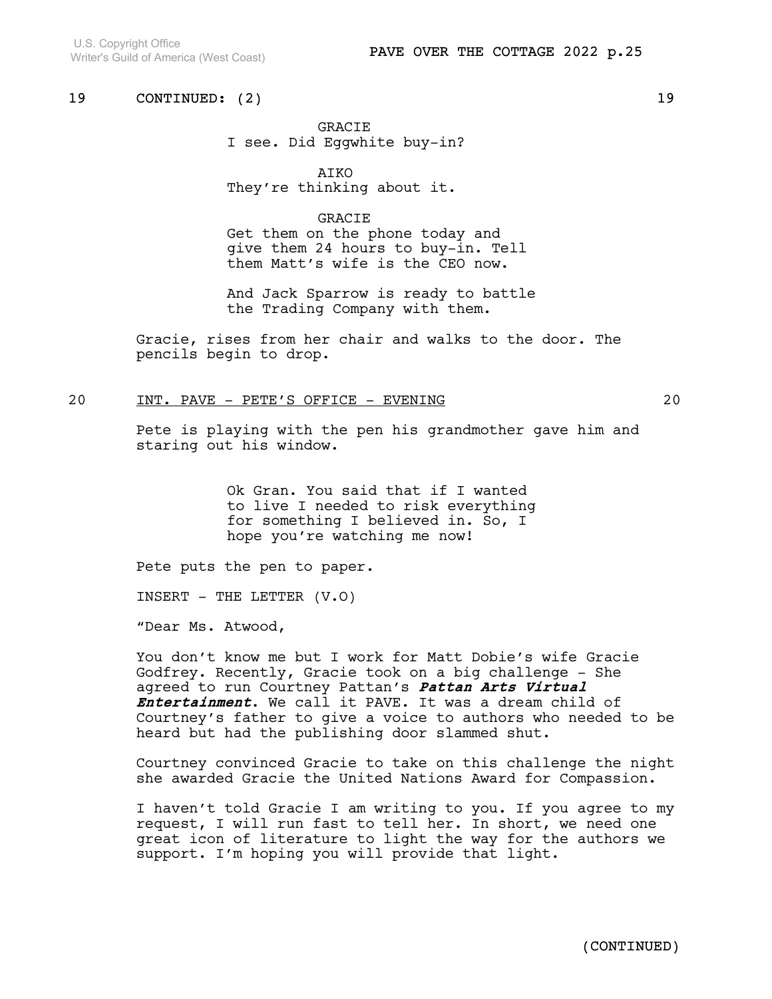GRACIE I see. Did Eggwhite buy-in?

AIKO They're thinking about it.

## **GRACIE**

Get them on the phone today and give them 24 hours to buy-in. Tell them Matt's wife is the CEO now.

And Jack Sparrow is ready to battle the Trading Company with them.

Gracie, rises from her chair and walks to the door. The pencils begin to drop.

### 20 INT. PAVE - PETE'S OFFICE - EVENING 20

Pete is playing with the pen his grandmother gave him and staring out his window.

> Ok Gran. You said that if I wanted to live I needed to risk everything for something I believed in. So, I hope you're watching me now!

Pete puts the pen to paper.

INSERT - THE LETTER  $(V.0)$ 

"Dear Ms. Atwood,

You don't know me but I work for Matt Dobie's wife Gracie Godfrey. Recently, Gracie took on a big challenge - She agreed to run Courtney Pattan's Pattan Arts Virtual Entertainment. We call it PAVE. It was a dream child of Courtney's father to give a voice to authors who needed to be heard but had the publishing door slammed shut.

Courtney convinced Gracie to take on this challenge the night she awarded Gracie the United Nations Award for Compassion.

I haven't told Gracie I am writing to you. If you agree to my request, I will run fast to tell her. In short, we need one great icon of literature to light the way for the authors we support. I'm hoping you will provide that light.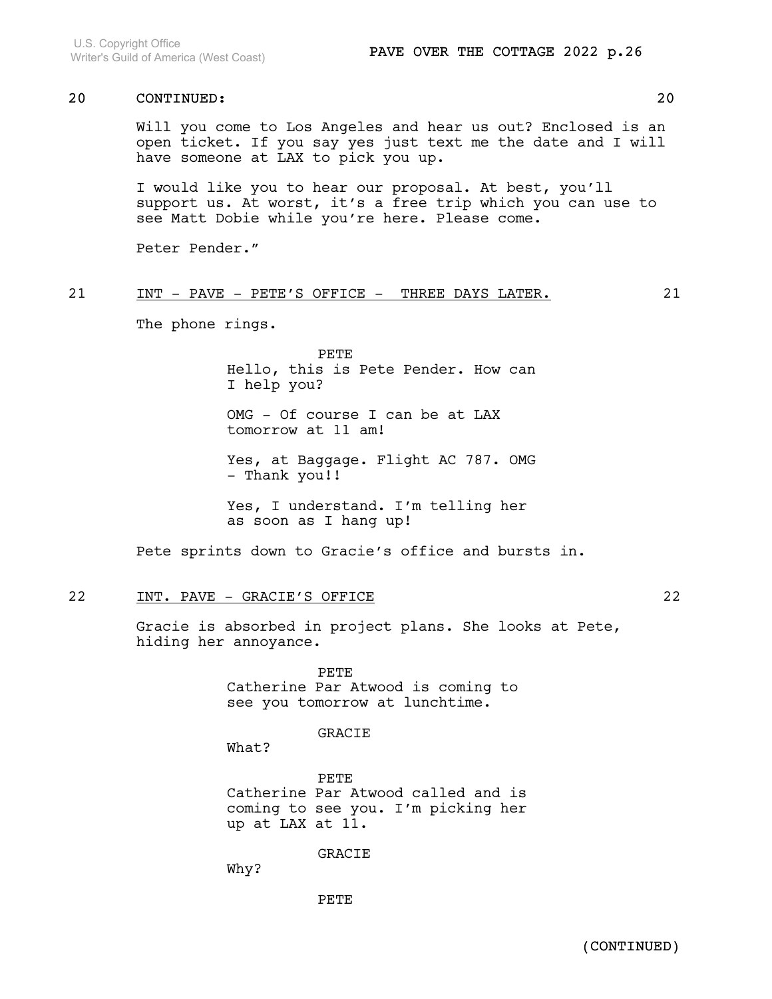Will you come to Los Angeles and hear us out? Enclosed is an open ticket. If you say yes just text me the date and I will have someone at LAX to pick you up.

I would like you to hear our proposal. At best, you'll support us. At worst, it's a free trip which you can use to see Matt Dobie while you're here. Please come.

Peter Pender."

### 21 INT - PAVE - PETE'S OFFICE - THREE DAYS LATER. 21

The phone rings.

PETE Hello, this is Pete Pender. How can I help you?

OMG - Of course I can be at LAX tomorrow at 11 am!

Yes, at Baggage. Flight AC 787. OMG - Thank you!!

Yes, I understand. I'm telling her as soon as I hang up!

Pete sprints down to Gracie's office and bursts in.

### 22 INT. PAVE - GRACIE'S OFFICE 22

Gracie is absorbed in project plans. She looks at Pete, hiding her annoyance.

> PETE Catherine Par Atwood is coming to see you tomorrow at lunchtime.

#### GRACIE

What?

PETE Catherine Par Atwood called and is coming to see you. I'm picking her up at LAX at 11.

GRACIE

Why?

PETE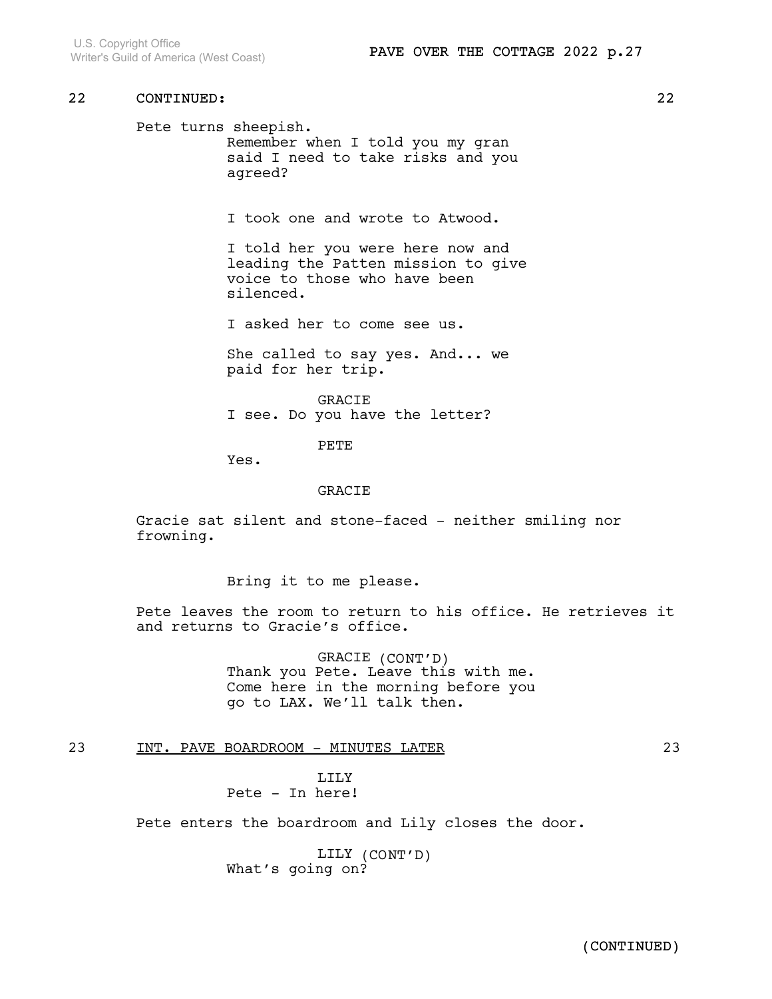Pete turns sheepish. Remember when I told you my gran said I need to take risks and you agreed?

I took one and wrote to Atwood.

I told her you were here now and leading the Patten mission to give voice to those who have been silenced.

I asked her to come see us.

She called to say yes. And... we paid for her trip.

GRACIE I see. Do you have the letter?

PETE

Yes.

#### GRACIE

Gracie sat silent and stone-faced - neither smiling nor frowning.

Bring it to me please.

Pete leaves the room to return to his office. He retrieves it and returns to Gracie's office.

> GRACIE (CONT'D) Thank you Pete. Leave this with me. Come here in the morning before you go to LAX. We'll talk then.

23 INT. PAVE BOARDROOM - MINUTES LATER 23

LILY Pete - In here!

Pete enters the boardroom and Lily closes the door.

LILY (CONT'D) What's going on?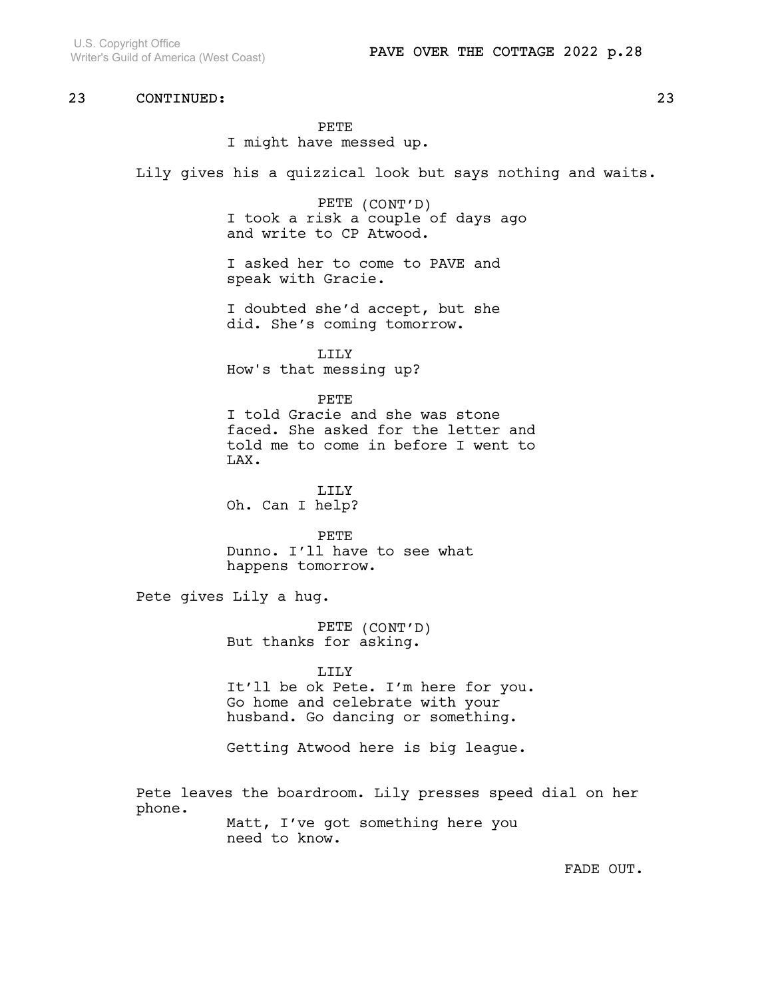PETE I might have messed up.

Lily gives his a quizzical look but says nothing and waits.

PETE (CONT'D) I took a risk a couple of days ago and write to CP Atwood.

I asked her to come to PAVE and speak with Gracie.

I doubted she'd accept, but she did. She's coming tomorrow.

LILY How's that messing up?

#### PETE

I told Gracie and she was stone faced. She asked for the letter and told me to come in before I went to LAX.

LILY Oh. Can I help?

PETE Dunno. I'll have to see what happens tomorrow.

Pete gives Lily a hug.

PETE (CONT'D) But thanks for asking.

LILY It'll be ok Pete. I'm here for you. Go home and celebrate with your husband. Go dancing or something.

Getting Atwood here is big league.

Pete leaves the boardroom. Lily presses speed dial on her phone. Matt, I've got something here you

need to know.

FADE OUT.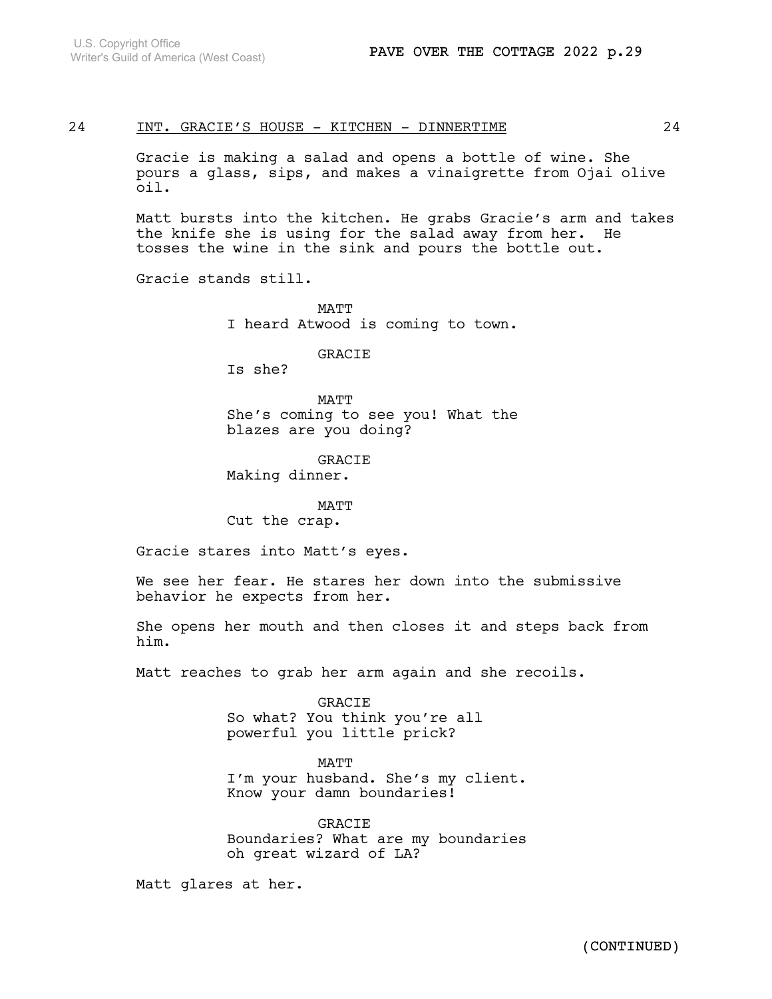### 24 INT. GRACIE'S HOUSE - KITCHEN - DINNERTIME  $24$

Gracie is making a salad and opens a bottle of wine. She pours a glass, sips, and makes a vinaigrette from Ojai olive oil.

Matt bursts into the kitchen. He grabs Gracie's arm and takes the knife she is using for the salad away from her. He tosses the wine in the sink and pours the bottle out.

Gracie stands still.

**MATT** I heard Atwood is coming to town.

GRACIE

Is she?

MATT She's coming to see you! What the blazes are you doing?

GRACIE Making dinner.

MATT Cut the crap.

Gracie stares into Matt's eyes.

We see her fear. He stares her down into the submissive behavior he expects from her.

She opens her mouth and then closes it and steps back from him.

Matt reaches to grab her arm again and she recoils.

GRACIE So what? You think you're all powerful you little prick?

MATT I'm your husband. She's my client. Know your damn boundaries!

GRACIE Boundaries? What are my boundaries oh great wizard of LA?

Matt glares at her.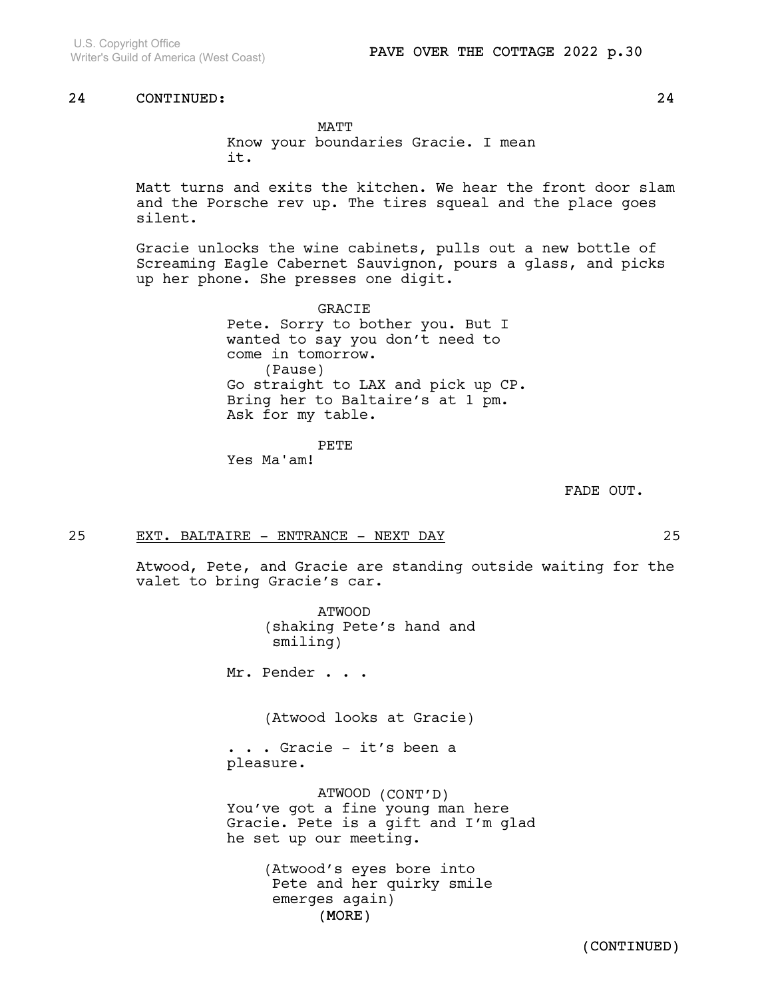MATT Know your boundaries Gracie. I mean it.

Matt turns and exits the kitchen. We hear the front door slam and the Porsche rev up. The tires squeal and the place goes silent.

Gracie unlocks the wine cabinets, pulls out a new bottle of Screaming Eagle Cabernet Sauvignon, pours a glass, and picks up her phone. She presses one digit.

> GRACIE Pete. Sorry to bother you. But I wanted to say you don't need to come in tomorrow. (Pause) Go straight to LAX and pick up CP. Bring her to Baltaire's at 1 pm. Ask for my table.

> > PETE

Yes Ma'am!

FADE OUT.

25 EXT. BALTAIRE - ENTRANCE - NEXT DAY 25

Atwood, Pete, and Gracie are standing outside waiting for the valet to bring Gracie's car.

> ATWOOD (shaking Pete's hand and smiling)

Mr. Pender . . .

(Atwood looks at Gracie)

. . . Gracie - it's been a pleasure.

ATWOOD (CONT'D) You've got a fine young man here Gracie. Pete is a gift and I'm glad he set up our meeting.

> (MORE) (Atwood's eyes bore into Pete and her quirky smile emerges again)

> > (CONTINUED)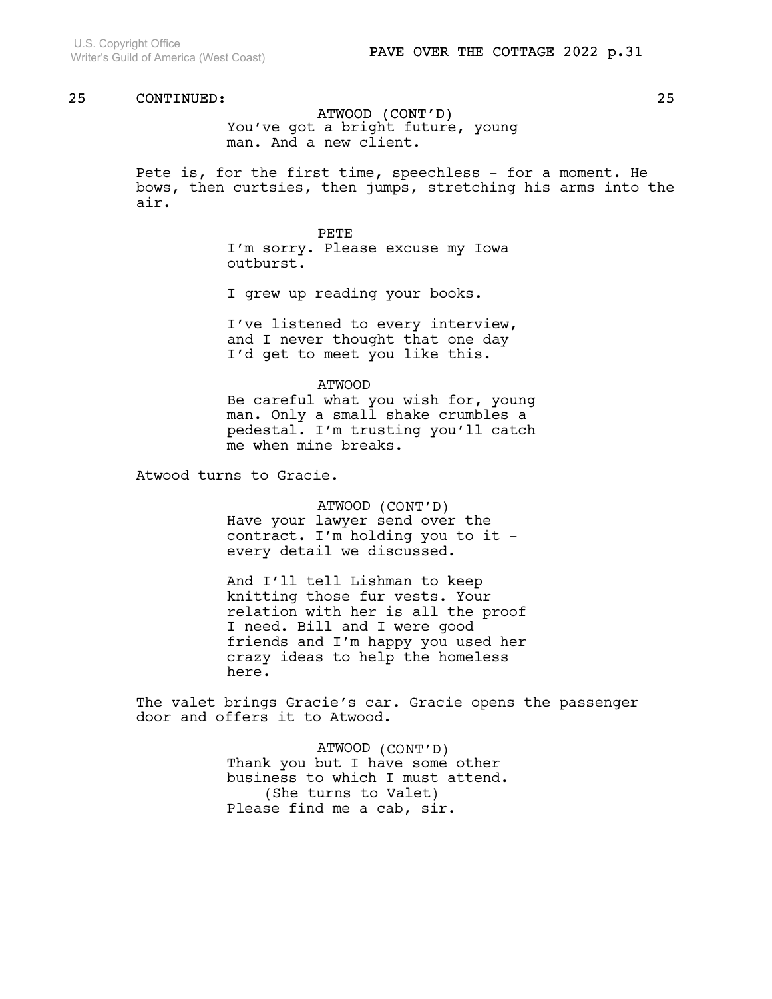ATWOOD (CONT'D) You've got a bright future, young man. And a new client.

Pete is, for the first time, speechless - for a moment. He bows, then curtsies, then jumps, stretching his arms into the air.

> PETE I'm sorry. Please excuse my Iowa outburst.

I grew up reading your books.

I've listened to every interview, and I never thought that one day I'd get to meet you like this.

ATWOOD Be careful what you wish for, young man. Only a small shake crumbles a pedestal. I'm trusting you'll catch me when mine breaks.

Atwood turns to Gracie.

ATWOOD (CONT'D) Have your lawyer send over the contract. I'm holding you to it every detail we discussed.

And I'll tell Lishman to keep knitting those fur vests. Your relation with her is all the proof I need. Bill and I were good friends and I'm happy you used her crazy ideas to help the homeless here.

The valet brings Gracie's car. Gracie opens the passenger door and offers it to Atwood.

> ATWOOD (CONT'D) Thank you but I have some other business to which I must attend. (She turns to Valet) Please find me a cab, sir.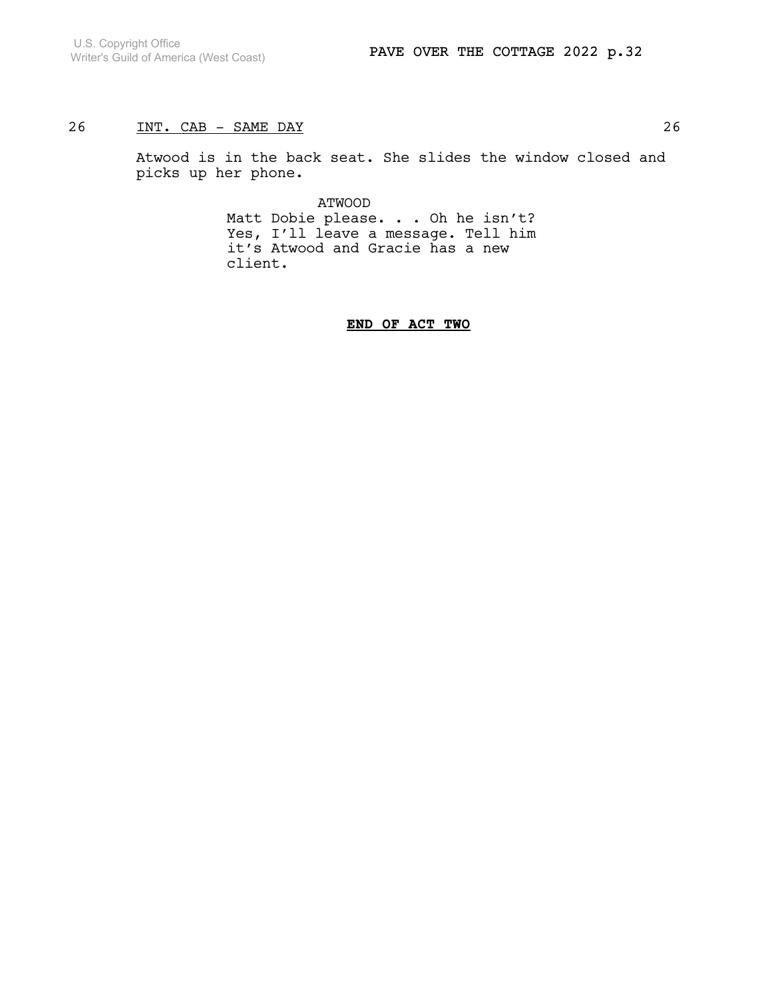## 26 INT. CAB – SAME DAY

Atwood is in the back seat. She slides the window closed and picks up her phone.

> ATWOOD Matt Dobie please. . . Oh he isn't? Yes, I'll leave a message. Tell him it's Atwood and Gracie has a new client.

### END OF ACT TWO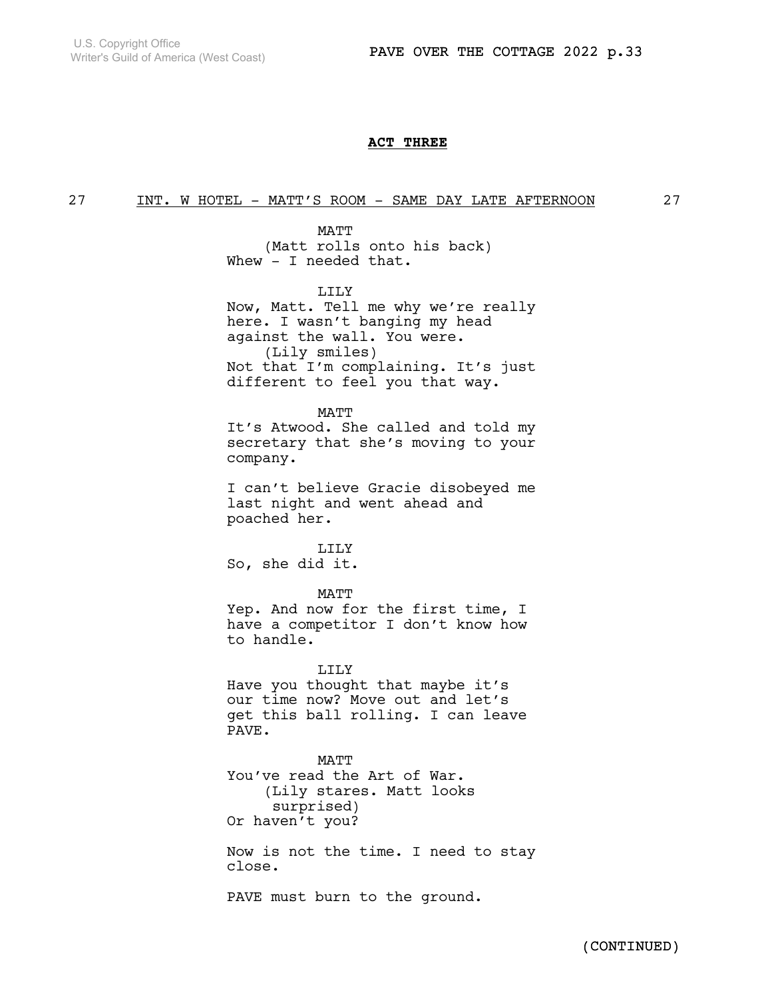### ACT THREE

### 27 INT. W HOTEL - MATT'S ROOM - SAME DAY LATE AFTERNOON 27

MATT (Matt rolls onto his back) Whew - I needed that.

LILY

Now, Matt. Tell me why we're really here. I wasn't banging my head against the wall. You were. (Lily smiles) Not that I'm complaining. It's just different to feel you that way.

MATT

It's Atwood. She called and told my secretary that she's moving to your company.

I can't believe Gracie disobeyed me last night and went ahead and poached her.

LILY So, she did it.

MATT

Yep. And now for the first time, I have a competitor I don't know how to handle.

LILY Have you thought that maybe it's our time now? Move out and let's get this ball rolling. I can leave PAVE.

MATT You've read the Art of War. (Lily stares. Matt looks surprised) Or haven't you?

Now is not the time. I need to stay close.

PAVE must burn to the ground.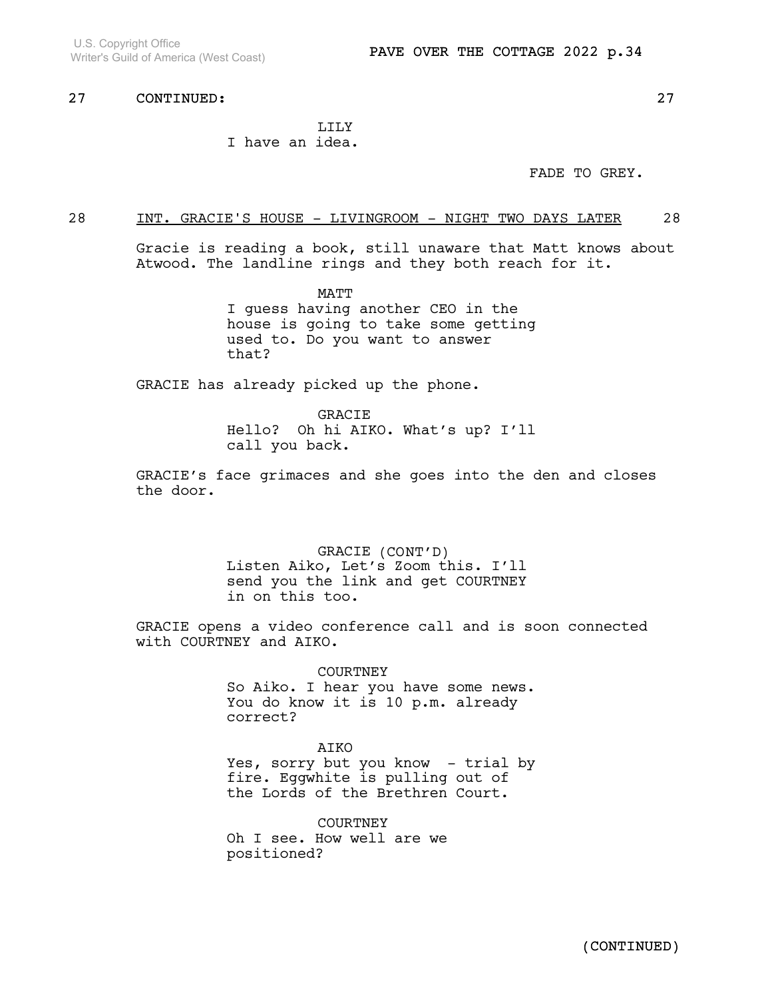### LILY I have an idea.

FADE TO GREY.

## 28 INT. GRACIE'S HOUSE - LIVINGROOM - NIGHT TWO DAYS LATER 28

Gracie is reading a book, still unaware that Matt knows about Atwood. The landline rings and they both reach for it.

> MATT I guess having another CEO in the house is going to take some getting used to. Do you want to answer that?

GRACIE has already picked up the phone.

GRACIE Hello? Oh hi AIKO. What's up? I'll call you back.

GRACIE's face grimaces and she goes into the den and closes the door.

> GRACIE (CONT'D) Listen Aiko, Let's Zoom this. I'll send you the link and get COURTNEY in on this too.

GRACIE opens a video conference call and is soon connected with COURTNEY and AIKO.

> COURTNEY So Aiko. I hear you have some news. You do know it is 10 p.m. already correct?

### AIKO

Yes, sorry but you know - trial by fire. Eggwhite is pulling out of the Lords of the Brethren Court.

**COURTNEY** Oh I see. How well are we positioned?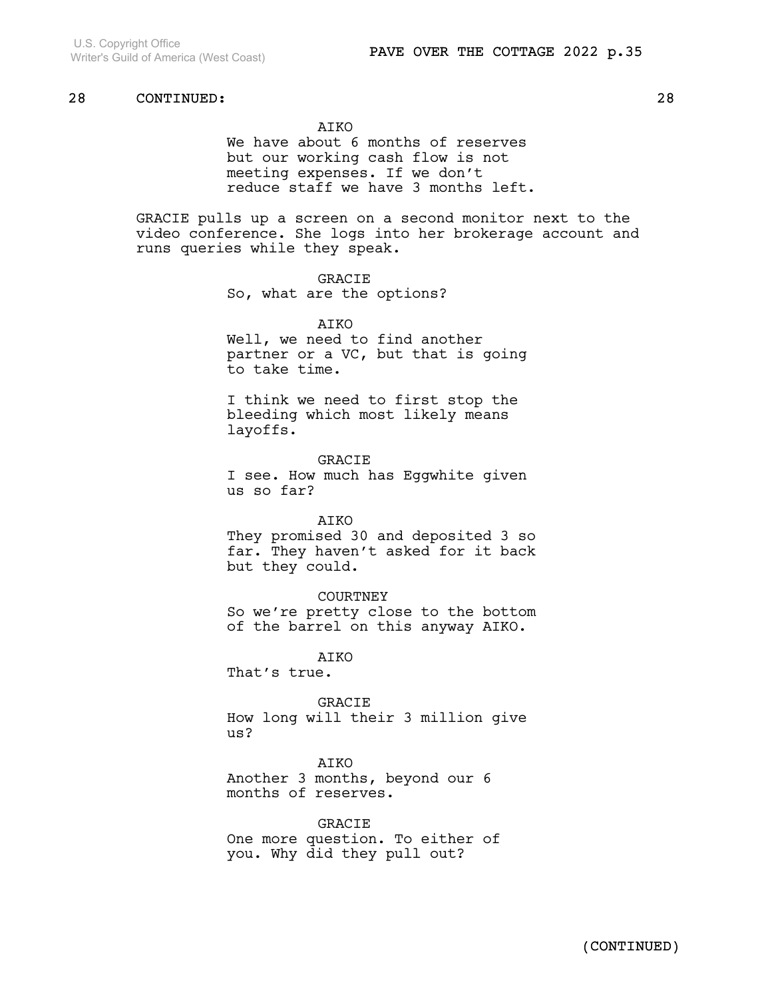### AIKO

We have about 6 months of reserves but our working cash flow is not meeting expenses. If we don't reduce staff we have 3 months left.

GRACIE pulls up a screen on a second monitor next to the video conference. She logs into her brokerage account and runs queries while they speak.

### GRACIE

So, what are the options?

#### ATKO

Well, we need to find another partner or a VC, but that is going to take time.

I think we need to first stop the bleeding which most likely means layoffs.

GRACIE I see. How much has Eggwhite given us so far?

### AIKO

They promised 30 and deposited 3 so far. They haven't asked for it back but they could.

#### **COURTNEY**

So we're pretty close to the bottom of the barrel on this anyway AIKO.

**ATKO** 

That's true.

GRACIE How long will their 3 million give us?

#### AIKO

Another 3 months, beyond our 6 months of reserves.

### GRACIE

One more question. To either of you. Why did they pull out?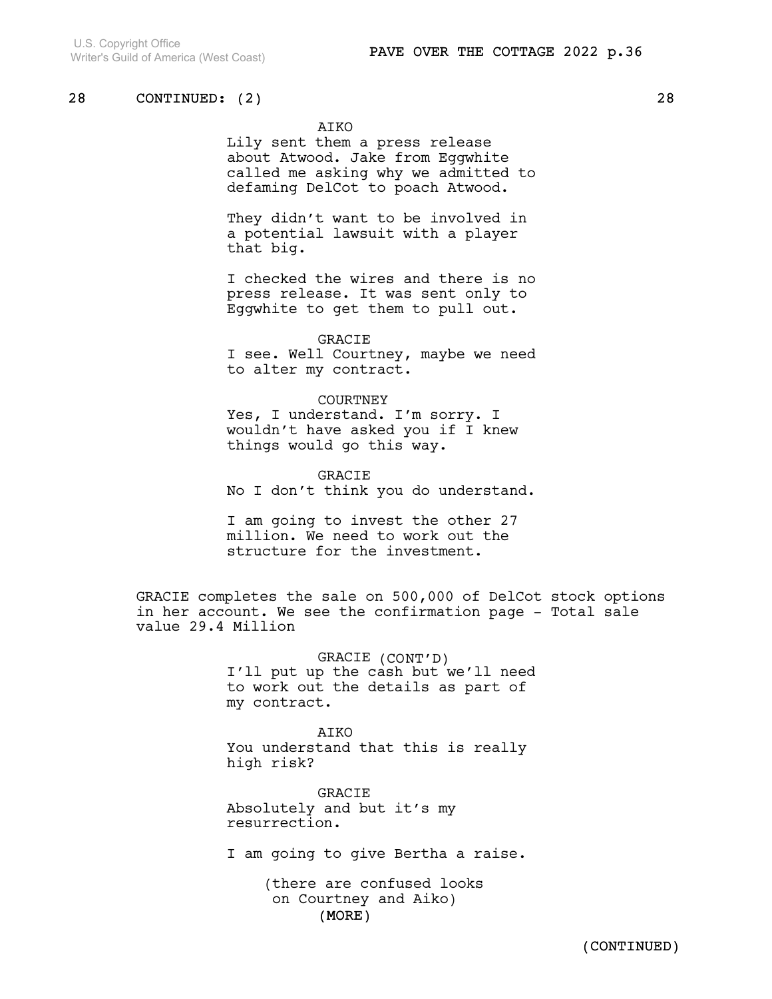### AIKO

Lily sent them a press release about Atwood. Jake from Eggwhite called me asking why we admitted to defaming DelCot to poach Atwood.

They didn't want to be involved in a potential lawsuit with a player that big.

I checked the wires and there is no press release. It was sent only to Eggwhite to get them to pull out.

### GRACIE

I see. Well Courtney, maybe we need to alter my contract.

#### COURTNEY

Yes, I understand. I'm sorry. I wouldn't have asked you if I knew things would go this way.

GRACIE No I don't think you do understand.

I am going to invest the other 27 million. We need to work out the structure for the investment.

GRACIE completes the sale on 500,000 of DelCot stock options in her account. We see the confirmation page - Total sale value 29.4 Million

> GRACIE (CONT'D) I'll put up the cash but we'll need to work out the details as part of my contract.

AIKO You understand that this is really high risk?

GRACIE Absolutely and but it's my resurrection.

I am going to give Bertha a raise.

(MORE) (there are confused looks on Courtney and Aiko)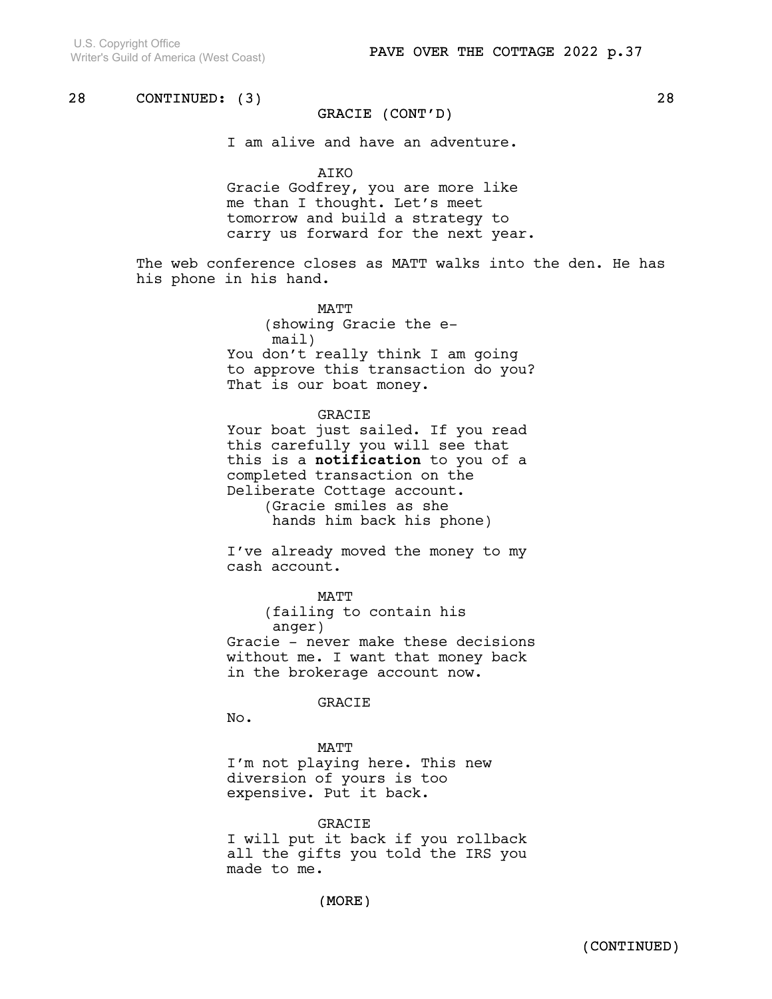### GRACIE (CONT'D)

I am alive and have an adventure.

AIKO

Gracie Godfrey, you are more like me than I thought. Let's meet tomorrow and build a strategy to carry us forward for the next year.

The web conference closes as MATT walks into the den. He has his phone in his hand.

> MATT (showing Gracie the email) You don't really think I am going to approve this transaction do you? That is our boat money.

> > GRACIE

Your boat just sailed. If you read this carefully you will see that this is a notification to you of a completed transaction on the Deliberate Cottage account. (Gracie smiles as she hands him back his phone)

I've already moved the money to my cash account.

MATT

(failing to contain his anger) Gracie - never make these decisions without me. I want that money back in the brokerage account now.

#### GRACIE

No.

MATT I'm not playing here. This new diversion of yours is too expensive. Put it back.

GRACIE I will put it back if you rollback all the gifts you told the IRS you made to me.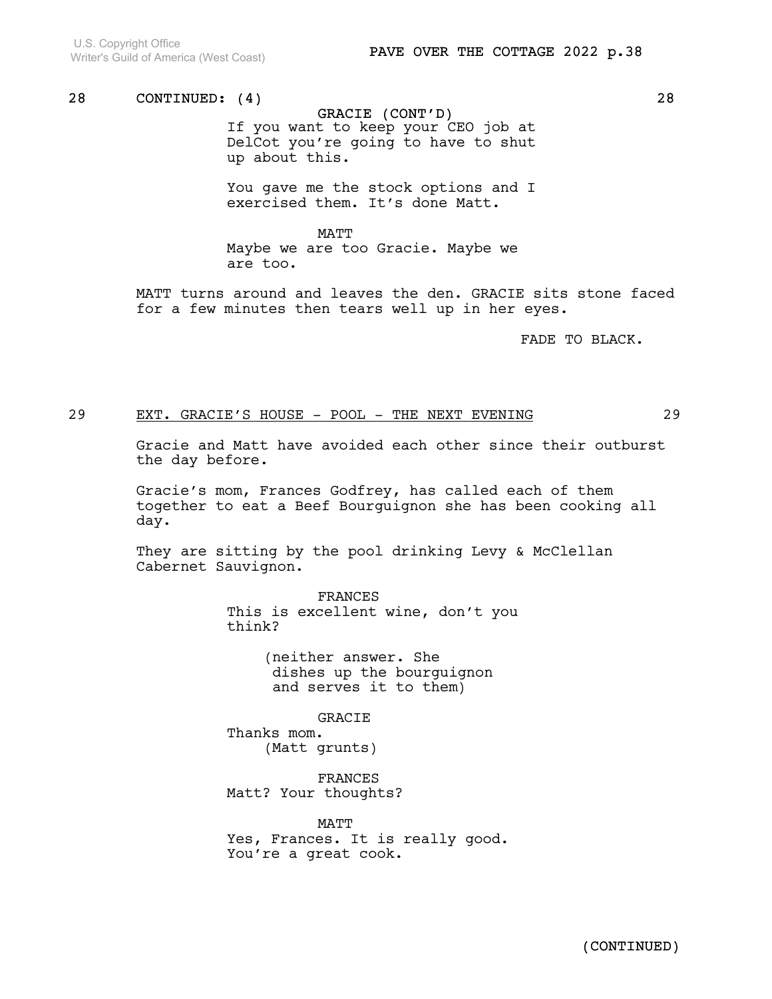GRACIE (CONT'D) If you want to keep your CEO job at DelCot you're going to have to shut up about this.

You gave me the stock options and I exercised them. It's done Matt.

MATT Maybe we are too Gracie. Maybe we are too.

MATT turns around and leaves the den. GRACIE sits stone faced for a few minutes then tears well up in her eyes.

FADE TO BLACK.

### 29 EXT. GRACIE'S HOUSE - POOL - THE NEXT EVENING 29

Gracie and Matt have avoided each other since their outburst the day before.

Gracie's mom, Frances Godfrey, has called each of them together to eat a Beef Bourguignon she has been cooking all day.

They are sitting by the pool drinking Levy & McClellan Cabernet Sauvignon.

> FRANCES This is excellent wine, don't you think?

> > (neither answer. She dishes up the bourguignon and serves it to them)

> > > GRACIE

Thanks mom. (Matt grunts)

FRANCES Matt? Your thoughts?

MATT Yes, Frances. It is really good. You're a great cook.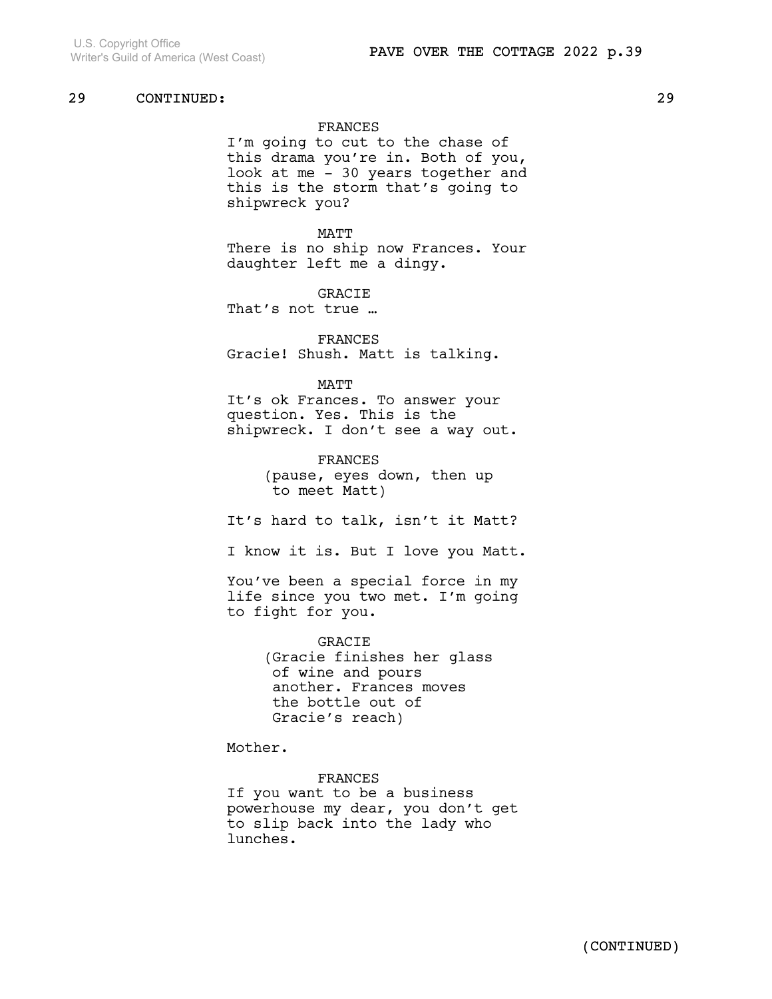### FRANCES

I'm going to cut to the chase of this drama you're in. Both of you, look at me - 30 years together and this is the storm that's going to shipwreck you?

MATT There is no ship now Frances. Your daughter left me a dingy.

GRACIE That's not true …

FRANCES Gracie! Shush. Matt is talking.

#### MATT

It's ok Frances. To answer your question. Yes. This is the shipwreck. I don't see a way out.

> FRANCES (pause, eyes down, then up to meet Matt)

It's hard to talk, isn't it Matt?

I know it is. But I love you Matt.

You've been a special force in my life since you two met. I'm going to fight for you.

> GRACIE (Gracie finishes her glass of wine and pours another. Frances moves the bottle out of Gracie's reach)

Mother.

FRANCES If you want to be a business powerhouse my dear, you don't get to slip back into the lady who lunches.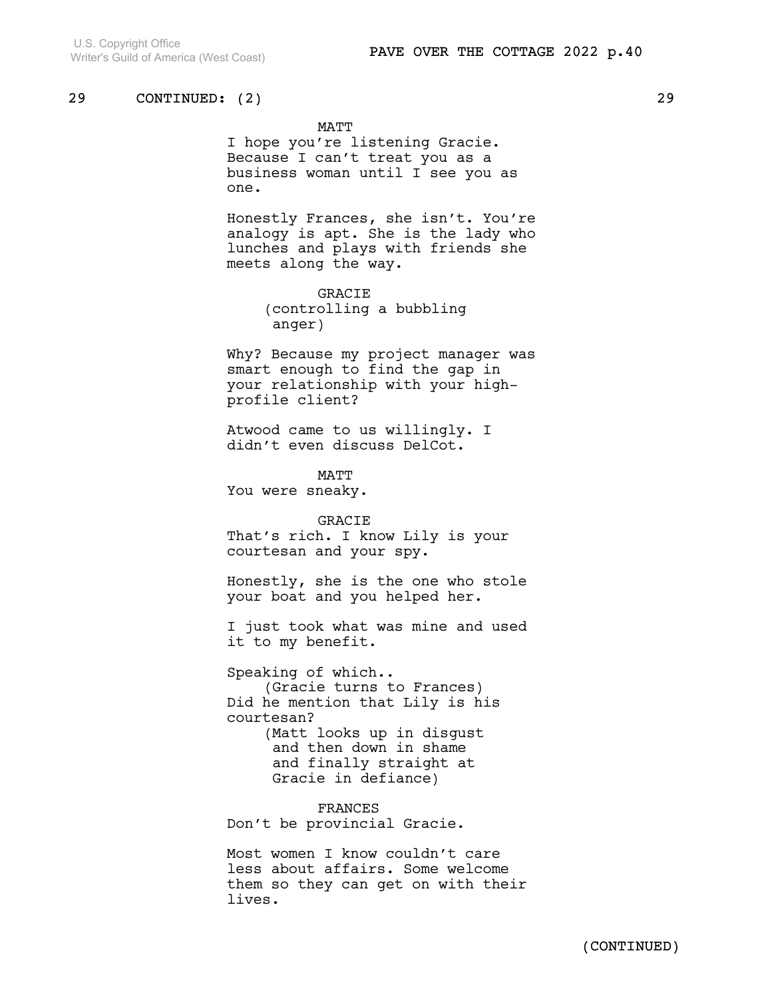MATT

I hope you're listening Gracie. Because I can't treat you as a business woman until I see you as one.

Honestly Frances, she isn't. You're analogy is apt. She is the lady who lunches and plays with friends she meets along the way.

> GRACIE (controlling a bubbling anger)

Why? Because my project manager was smart enough to find the gap in your relationship with your highprofile client?

Atwood came to us willingly. I didn't even discuss DelCot.

MATT You were sneaky.

GRACIE That's rich. I know Lily is your courtesan and your spy.

Honestly, she is the one who stole your boat and you helped her.

I just took what was mine and used it to my benefit.

Speaking of which.. (Gracie turns to Frances) Did he mention that Lily is his courtesan? (Matt looks up in disgust and then down in shame and finally straight at Gracie in defiance)

FRANCES Don't be provincial Gracie.

Most women I know couldn't care less about affairs. Some welcome them so they can get on with their lives.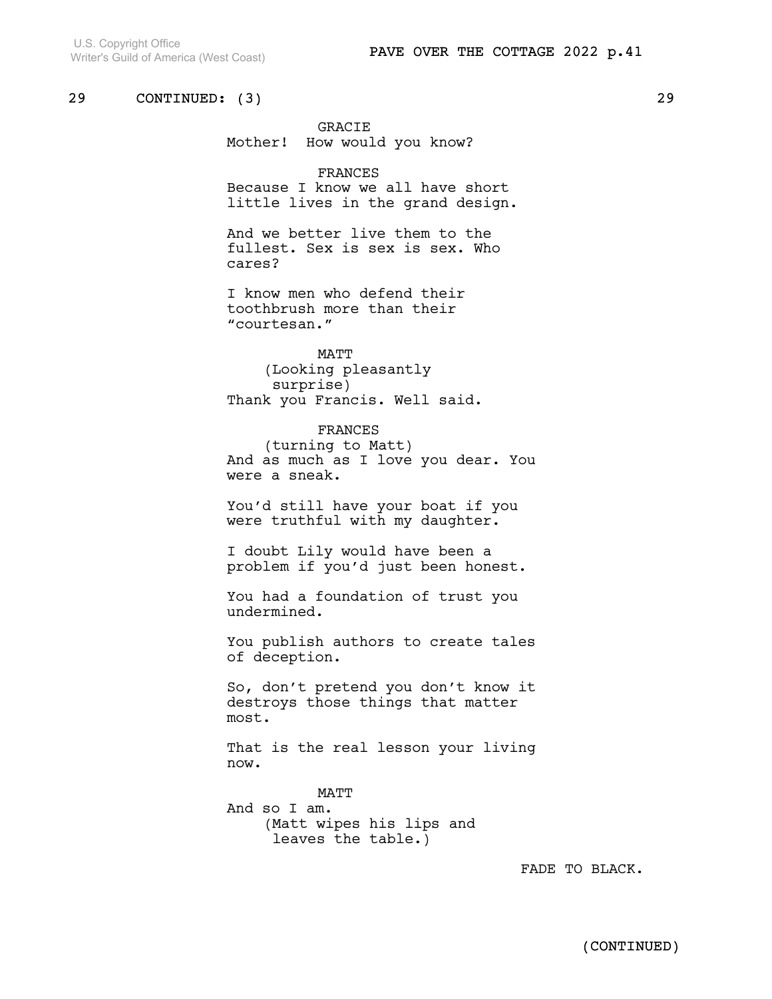GRACIE Mother! How would you know?

#### FRANCES

Because I know we all have short little lives in the grand design.

And we better live them to the fullest. Sex is sex is sex. Who cares?

I know men who defend their toothbrush more than their "courtesan."

MATT (Looking pleasantly surprise) Thank you Francis. Well said.

FRANCES (turning to Matt) And as much as I love you dear. You were a sneak.

You'd still have your boat if you were truthful with my daughter.

I doubt Lily would have been a problem if you'd just been honest.

You had a foundation of trust you undermined.

You publish authors to create tales of deception.

So, don't pretend you don't know it destroys those things that matter most.

That is the real lesson your living now.

MATT And so I am. (Matt wipes his lips and leaves the table.)

FADE TO BLACK.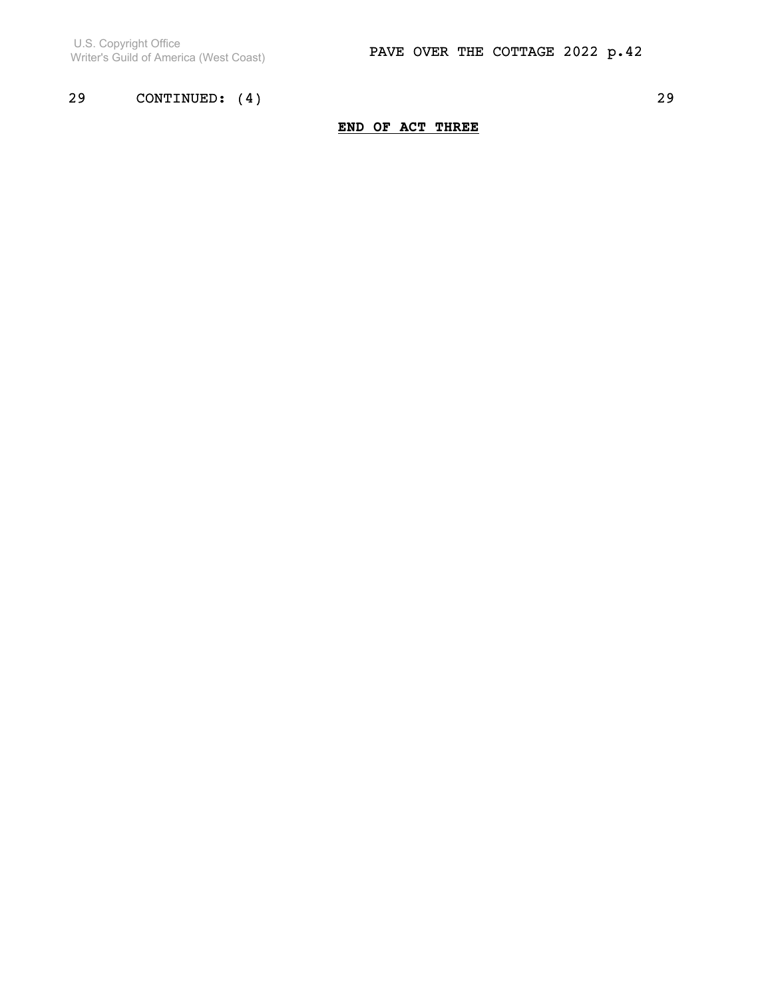U.S. Copyright Office Writer's Guild of America (West Coast)

# 29 CONTINUED: (4) 29

# END OF ACT THREE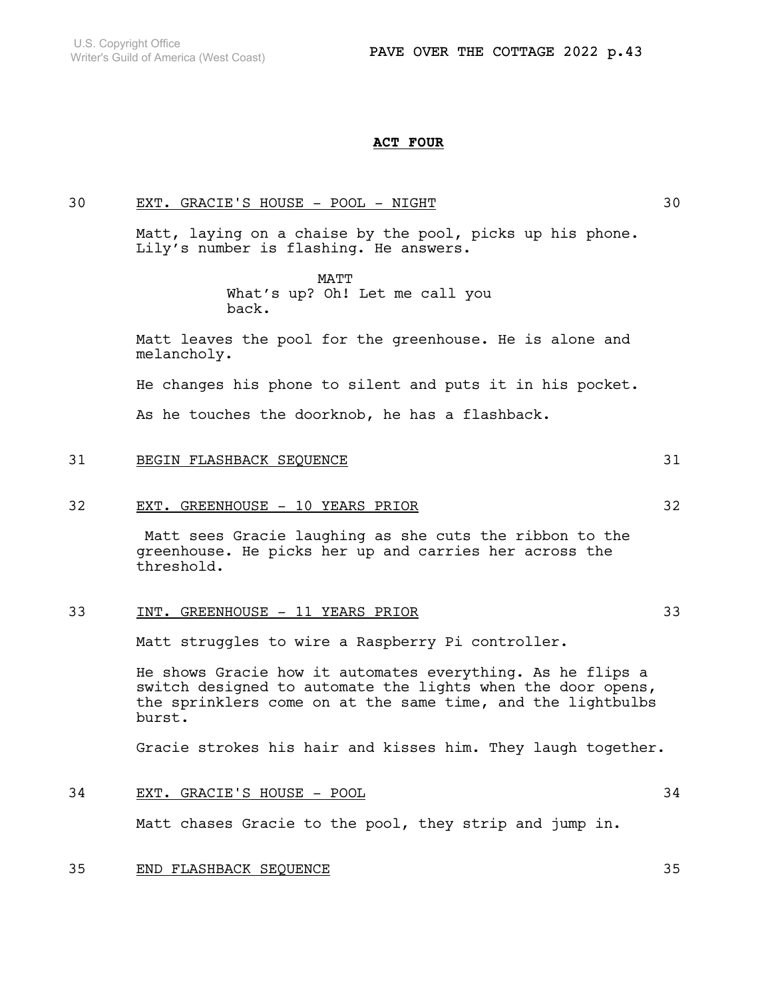#### ACT FOUR

30 EXT. GRACIE'S HOUSE - POOL - NIGHT 30

Matt, laying on a chaise by the pool, picks up his phone. Lily's number is flashing. He answers.

> MATT What's up? Oh! Let me call you back.

Matt leaves the pool for the greenhouse. He is alone and melancholy.

He changes his phone to silent and puts it in his pocket.

As he touches the doorknob, he has a flashback.

31 BEGIN FLASHBACK SEQUENCE 31

### 32 EXT. GREENHOUSE - 10 YEARS PRIOR 32

 Matt sees Gracie laughing as she cuts the ribbon to the greenhouse. He picks her up and carries her across the threshold.

## 33 INT. GREENHOUSE - 11 YEARS PRIOR 33

Matt struggles to wire a Raspberry Pi controller.

He shows Gracie how it automates everything. As he flips a switch designed to automate the lights when the door opens, the sprinklers come on at the same time, and the lightbulbs burst.

Gracie strokes his hair and kisses him. They laugh together.

### 34 EXT. GRACIE'S HOUSE - POOL 34

Matt chases Gracie to the pool, they strip and jump in.

### 35 END FLASHBACK SEQUENCE 35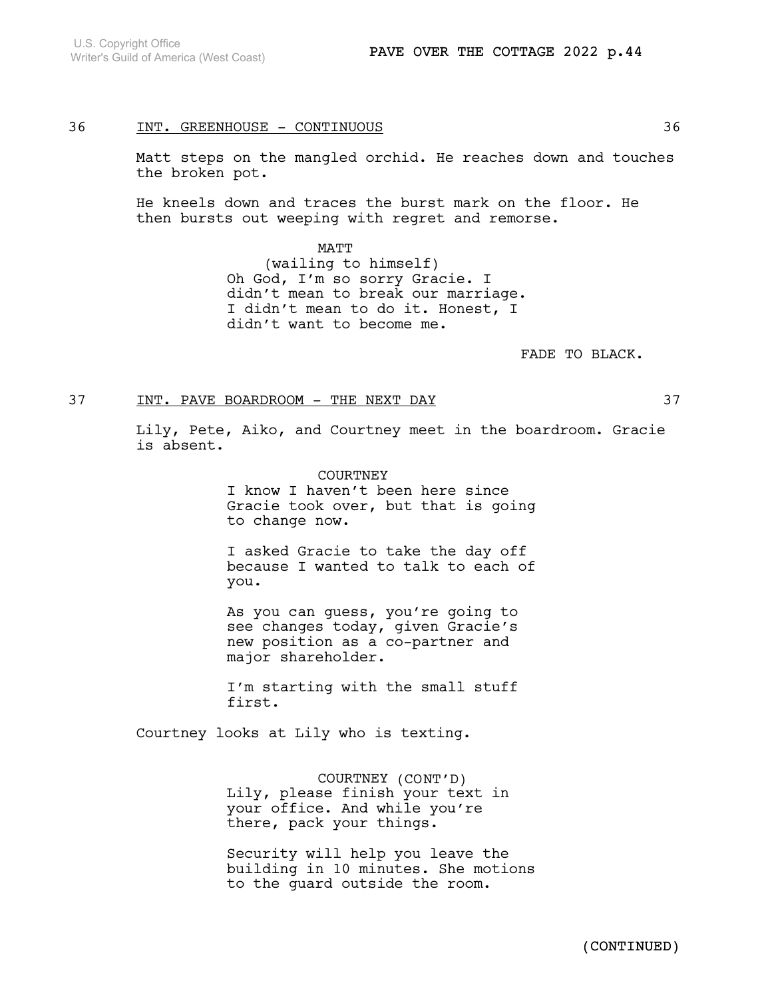### 36 INT. GREENHOUSE - CONTINUOUS 36

Matt steps on the mangled orchid. He reaches down and touches the broken pot.

He kneels down and traces the burst mark on the floor. He then bursts out weeping with regret and remorse.

> MATT (wailing to himself) Oh God, I'm so sorry Gracie. I didn't mean to break our marriage. I didn't mean to do it. Honest, I didn't want to become me.

> > FADE TO BLACK.

### 37 INT. PAVE BOARDROOM - THE NEXT DAY 37

Lily, Pete, Aiko, and Courtney meet in the boardroom. Gracie is absent.

> COURTNEY I know I haven't been here since Gracie took over, but that is going to change now.

> I asked Gracie to take the day off because I wanted to talk to each of you.

As you can guess, you're going to see changes today, given Gracie's new position as a co-partner and major shareholder.

I'm starting with the small stuff first.

Courtney looks at Lily who is texting.

COURTNEY (CONT'D) Lily, please finish your text in your office. And while you're there, pack your things.

Security will help you leave the building in 10 minutes. She motions to the guard outside the room.

(CONTINUED)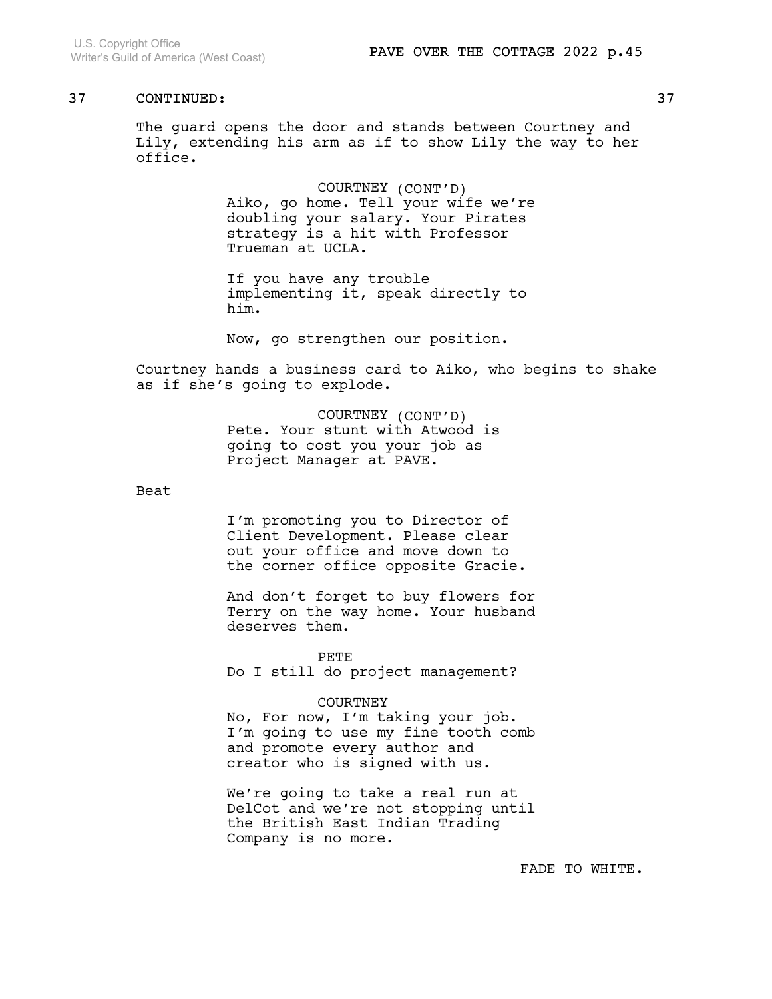The guard opens the door and stands between Courtney and Lily, extending his arm as if to show Lily the way to her office.

> COURTNEY (CONT'D) Aiko, go home. Tell your wife we're doubling your salary. Your Pirates strategy is a hit with Professor Trueman at UCLA.

If you have any trouble implementing it, speak directly to him.

Now, go strengthen our position.

Courtney hands a business card to Aiko, who begins to shake as if she's going to explode.

> COURTNEY (CONT'D) Pete. Your stunt with Atwood is going to cost you your job as Project Manager at PAVE.

Beat

I'm promoting you to Director of Client Development. Please clear out your office and move down to the corner office opposite Gracie.

And don't forget to buy flowers for Terry on the way home. Your husband deserves them.

PETE Do I still do project management?

COURTNEY

No, For now, I'm taking your job. I'm going to use my fine tooth comb and promote every author and creator who is signed with us.

We're going to take a real run at DelCot and we're not stopping until the British East Indian Trading Company is no more.

FADE TO WHITE.